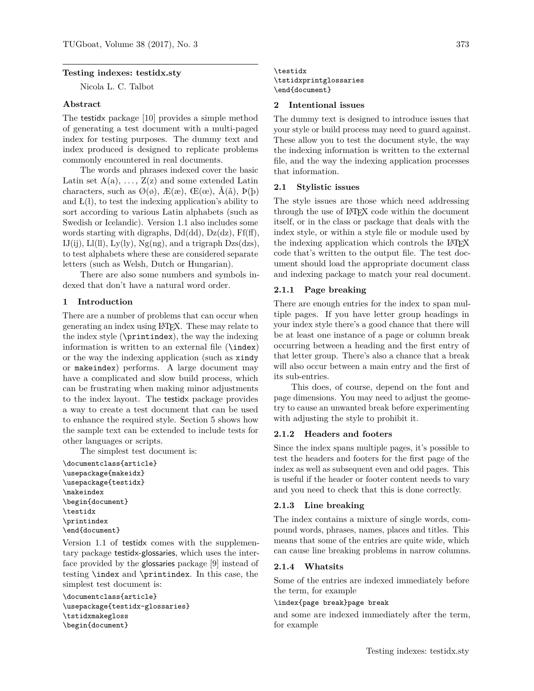# **Testing indexes: testidx.sty**

Nicola L. C. Talbot

#### **Abstract**

The testidx package [\[10\]](#page-26-0) provides a simple method of generating a test document with a multi-paged index for testing purposes. The dummy text and index produced is designed to replicate problems commonly encountered in real documents.

The words and phrases indexed cover the basic Latin set  $A(a), \ldots, Z(z)$  and some extended Latin characters, such as  $\mathcal{O}(\emptyset)$ ,  $\mathcal{E}(\mathfrak{E}), \mathcal{E}(\mathfrak{E}), \mathcal{A}(\mathring{a}), \mathcal{P}(\mathring{b})$ and  $L(1)$ , to test the indexing application's ability to sort according to various Latin alphabets (such as Swedish or Icelandic). Version 1.1 also includes some words starting with digraphs,  $Dd(dd)$ ,  $Dz(dz)$ ,  $Ff(ff)$ , IJ(ij), Ll(ll), Ly(ly), Ng(ng), and a trigraph  $Dzs(dzs)$ , to test alphabets where these are considered separate letters (such as Welsh, Dutch or Hungarian).

There are also some numbers and symbols indexed that don't have a natural word order.

# **1 Introduction**

There are a number of problems that can occur when generating an index using LATEX. These may relate to the index style  $(\prime)$ , the way the indexing information is written to an external file (\index) or the way the indexing application (such as xindy or makeindex) performs. A large document may have a complicated and slow build process, which can be frustrating when making minor adjustments to the index layout. The testidx package provides a way to create a test document that can be used to enhance the required style. Section [5](#page-22-0) shows how the sample text can be extended to include tests for other languages or scripts.

The simplest test document is:

```
\documentclass{article}
\usepackage{makeidx}
\usepackage{testidx}
\makeindex
\begin{document}
\testidx
\printindex
\end{document}
```
Version 1.1 of testidx comes with the supplementary package testidx-glossaries, which uses the interface provided by the glossaries package [\[9\]](#page-26-1) instead of testing \index and \printindex. In this case, the simplest test document is:

\documentclass{article} \usepackage{testidx-glossaries} \tstidxmakegloss \begin{document}

### \testidx \tstidxprintglossaries \end{document}

#### **2 Intentional issues**

The dummy text is designed to introduce issues that your style or build process may need to guard against. These allow you to test the document style, the way the indexing information is written to the external file, and the way the indexing application processes that information.

### **2.1 Stylistic issues**

The style issues are those which need addressing through the use of LATEX code within the document itself, or in the class or package that deals with the index style, or within a style file or module used by the indexing application which controls the LAT<sub>EX</sub> code that's written to the output file. The test document should load the appropriate document class and indexing package to match your real document.

#### **2.1.1 Page breaking**

There are enough entries for the index to span multiple pages. If you have letter group headings in your index style there's a good chance that there will be at least one instance of a page or column break occurring between a heading and the first entry of that letter group. There's also a chance that a break will also occur between a main entry and the first of its sub-entries.

This does, of course, depend on the font and page dimensions. You may need to adjust the geometry to cause an unwanted break before experimenting with adjusting the style to prohibit it.

#### **2.1.2 Headers and footers**

Since the index spans multiple pages, it's possible to test the headers and footers for the first page of the index as well as subsequent even and odd pages. This is useful if the header or footer content needs to vary and you need to check that this is done correctly.

#### **2.1.3 Line breaking**

The index contains a mixture of single words, compound words, phrases, names, places and titles. This means that some of the entries are quite wide, which can cause line breaking problems in narrow columns.

#### **2.1.4 Whatsits**

Some of the entries are indexed immediately before the term, for example

#### \index{page break}page break

and some are indexed immediately after the term, for example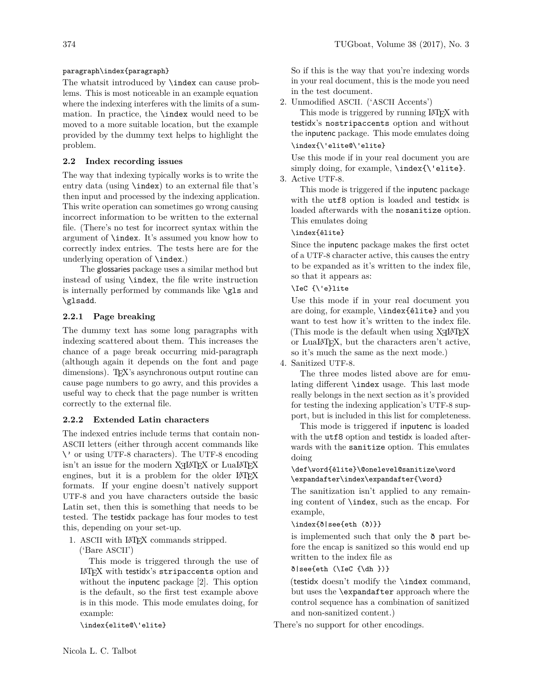# paragraph\index{paragraph}

The whatsit introduced by \index can cause problems. This is most noticeable in an example equation where the indexing interferes with the limits of a summation. In practice, the \index would need to be moved to a more suitable location, but the example provided by the dummy text helps to highlight the problem.

# **2.2 Index recording issues**

The way that indexing typically works is to write the entry data (using \index) to an external file that's then input and processed by the indexing application. This write operation can sometimes go wrong causing incorrect information to be written to the external file. (There's no test for incorrect syntax within the argument of \index. It's assumed you know how to correctly index entries. The tests here are for the underlying operation of \index.)

The glossaries package uses a similar method but instead of using \index, the file write instruction is internally performed by commands like \gls and \glsadd.

# **2.2.1 Page breaking**

The dummy text has some long paragraphs with indexing scattered about them. This increases the chance of a page break occurring mid-paragraph (although again it depends on the font and page dimensions). T<sub>EX</sub>'s asynchronous output routine can cause page numbers to go awry, and this provides a useful way to check that the page number is written correctly to the external file.

# **2.2.2 Extended Latin characters**

The indexed entries include terms that contain non-ASCII letters (either through accent commands like \' or using UTF-8 characters). The UTF-8 encoding isn't an issue for the modern  $X \rightarrow Y$ EX or LuaLATEX engines, but it is a problem for the older LAT<sub>EX</sub> formats. If your engine doesn't natively support UTF-8 and you have characters outside the basic Latin set, then this is something that needs to be tested. The testidx package has four modes to test this, depending on your set-up.

1. ASCII with LATEX commands stripped.

('Bare ASCII')

This mode is triggered through the use of LATEX with testidx's stripaccents option and without the inputenc package [\[2\]](#page-26-2). This option is the default, so the first test example above is in this mode. This mode emulates doing, for example:

\index{elite@\'elite}

So if this is the way that you're indexing words in your real document, this is the mode you need in the test document.

2. Unmodified ASCII. ('ASCII Accents')

This mode is triggered by running LAT<sub>EX</sub> with testidx's nostripaccents option and without the inputenc package. This mode emulates doing \index{\'elite@\'elite}

Use this mode if in your real document you are simply doing, for example, \index{\'elite}.

# 3. Active UTF-8.

This mode is triggered if the inputenc package with the utf8 option is loaded and testidx is loaded afterwards with the nosanitize option. This emulates doing

# \index{élite}

Since the inputenc package makes the first octet of a UTF-8 character active, this causes the entry to be expanded as it's written to the index file, so that it appears as:

# \IeC {\'e}lite

Use this mode if in your real document you are doing, for example, \index{élite} and you want to test how it's written to the index file. (This mode is the default when using  $X \rightarrow Y$ or LuaLATEX, but the characters aren't active, so it's much the same as the next mode.)

4. Sanitized UTF-8.

The three modes listed above are for emulating different \index usage. This last mode really belongs in the next section as it's provided for testing the indexing application's UTF-8 support, but is included in this list for completeness.

This mode is triggered if inputenc is loaded with the  $utf8$  option and testidx is loaded afterwards with the sanitize option. This emulates doing

# \def\word{élite}\@onelevel@sanitize\word \expandafter\index\expandafter{\word}

The sanitization isn't applied to any remaining content of \index, such as the encap. For example,

#### \index{ð|see{eth (ð)}}

is implemented such that only the ð part before the encap is sanitized so this would end up written to the index file as

# ð|see{eth (\IeC {\dh })}

(testidx doesn't modify the \index command, but uses the \expandafter approach where the control sequence has a combination of sanitized and non-sanitized content.)

There's no support for other encodings.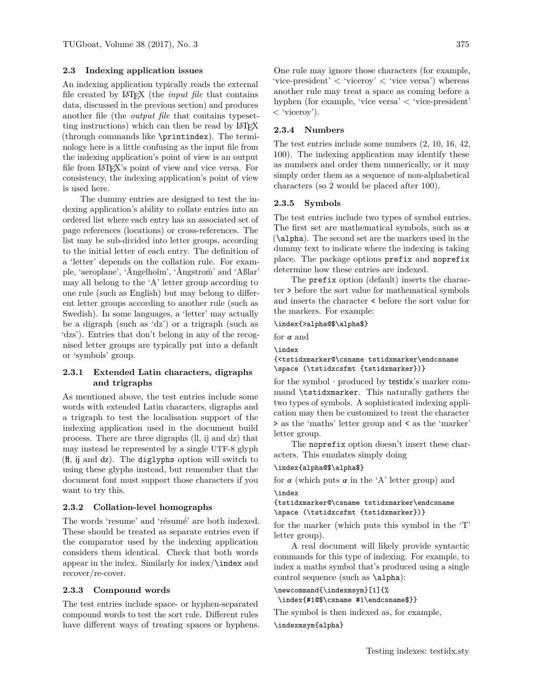# **2.3 Indexing application issues**

An indexing application typically reads the external file created by LATEX (the *input file* that contains data, discussed in the previous section) and produces another file (the *output file* that contains typesetting instructions) which can then be read by LAT<sub>EX</sub> (through commands like \printindex). The terminology here is a little confusing as the input file from the indexing application's point of view is an output file from LATEX's point of view and vice versa. For consistency, the indexing application's point of view is used here.

The dummy entries are designed to test the indexing application's ability to collate entries into an ordered list where each entry has an associated set of page references (locations) or cross-references. The list may be sub-divided into letter groups, according to the initial letter of each entry. The definition of a 'letter' depends on the collation rule. For example, 'aeroplane', 'Ängelholm', 'Ångstrom' and 'Aßlar' may all belong to the 'A' letter group according to one rule (such as English) but may belong to different letter groups according to another rule (such as Swedish). In some languages, a 'letter' may actually be a digraph (such as 'dz') or a trigraph (such as 'dzs'). Entries that don't belong in any of the recognised letter groups are typically put into a default or 'symbols' group.

# **2.3.1 Extended Latin characters, digraphs and trigraphs**

As mentioned above, the test entries include some words with extended Latin characters, digraphs and a trigraph to test the localisation support of the indexing application used in the document build process. There are three digraphs (ll, ij and dz) that may instead be represented by a single UTF-8 glyph ( ỻ, ij and dz ). The diglyphs option will switch to using these glyphs instead, but remember that the document font must support those characters if you want to try this.

### **2.3.2 Collation-level homographs**

The words 'resume' and 'résumé' are both indexed. These should be treated as separate entries even if the comparator used by the indexing application considers them identical. Check that both words appear in the index. Similarly for index/\index and recover/re-cover.

### **2.3.3 Compound words**

The test entries include space- or hyphen-separated compound words to test the sort rule. Different rules have different ways of treating spaces or hyphens.

One rule may ignore those characters (for example, 'vice-president'  $\langle$  'viceroy'  $\langle$  'vice versa') whereas another rule may treat a space as coming before a hyphen (for example, 'vice versa' < 'vice-president' < 'viceroy').

### **2.3.4 Numbers**

The test entries include some numbers (2, 10, 16, 42, 100). The indexing application may identify these as numbers and order them numerically, or it may simply order them as a sequence of non-alphabetical characters (so 2 would be placed after 100).

### **2.3.5 Symbols**

The test entries include two types of symbol entries. The first set are mathematical symbols, such as  $\alpha$ (\alpha). The second set are the markers used in the dummy text to indicate where the indexing is taking place. The package options prefix and noprefix determine how these entries are indexed.

The prefix option (default) inserts the character > before the sort value for mathematical symbols and inserts the character < before the sort value for the markers. For example:

#### \index{>alpha@\$\alpha\$}

for  $\alpha$  and

```
\index
```
{<tstidxmarker@\csname tstidxmarker\endcsname \space (\tstidxcsfmt {tstidxmarker})}

for the symbol  $\cdot$  produced by testidx's marker command \tstidxmarker. This naturally gathers the two types of symbols. A sophisticated indexing application may then be customized to treat the character > as the 'maths' letter group and < as the 'marker' letter group.

The noprefix option doesn't insert these characters. This emulates simply doing

#### \index{alpha@\$\alpha\$}

for  $\alpha$  (which puts  $\alpha$  in the 'A' letter group) and \index

{tstidxmarker@\csname tstidxmarker\endcsname \space (\tstidxcsfmt {tstidxmarker})}

for the marker (which puts this symbol in the 'T' letter group).

A real document will likely provide syntactic commands for this type of indexing. For example, to index a maths symbol that's produced using a single control sequence (such as \alpha):

```
\newcommand{\indexmsym}[1]{%
\index{#1@$\csname #1\endcsname$}}
```
The symbol is then indexed as, for example,

\indexmsym{alpha}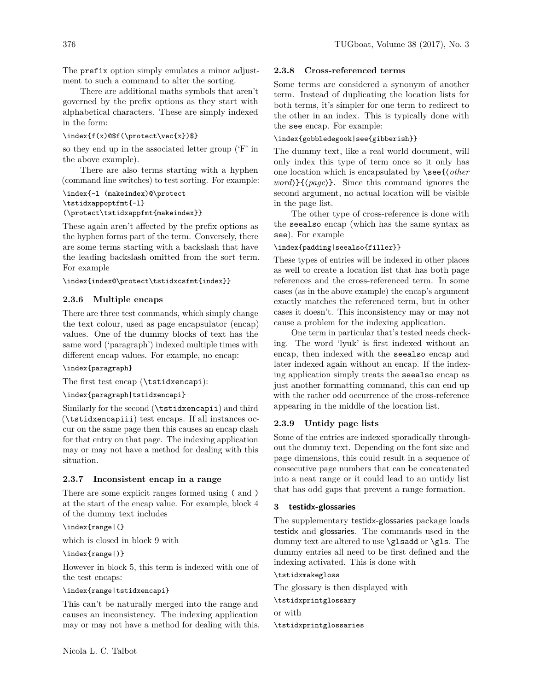The prefix option simply emulates a minor adjustment to such a command to alter the sorting.

There are additional maths symbols that aren't governed by the prefix options as they start with alphabetical characters. These are simply indexed in the form:

#### $\in{\text{r}}$

so they end up in the associated letter group ('F' in the above example).

There are also terms starting with a hyphen (command line switches) to test sorting. For example:

# \index{-l (makeindex)@\protect \tstidxappoptfmt{-l} (\protect\tstidxappfmt{makeindex}}

These again aren't affected by the prefix options as the hyphen forms part of the term. Conversely, there are some terms starting with a backslash that have the leading backslash omitted from the sort term. For example

### \index{index@\protect\tstidxcsfmt{index}}

### <span id="page-3-0"></span>**2.3.6 Multiple encaps**

There are three test commands, which simply change the text colour, used as page encapsulator (encap) values. One of the dummy blocks of text has the same word ('paragraph') indexed multiple times with different encap values. For example, no encap:

# \index{paragraph}

The first test encap (\tstidxencapi):

\index{paragraph|tstidxencapi}

Similarly for the second (\tstidxencapii) and third (\tstidxencapiii) test encaps. If all instances occur on the same page then this causes an encap clash for that entry on that page. The indexing application may or may not have a method for dealing with this situation.

### <span id="page-3-1"></span>**2.3.7 Inconsistent encap in a range**

There are some explicit ranges formed using ( and ) at the start of the encap value. For example, block 4 of the dummy text includes

# \index{range|(}

which is closed in block 9 with

#### \index{range|)}

However in block 5, this term is indexed with one of the test encaps:

# \index{range|tstidxencapi}

This can't be naturally merged into the range and causes an inconsistency. The indexing application may or may not have a method for dealing with this.

### <span id="page-3-2"></span>**2.3.8 Cross-referenced terms**

Some terms are considered a synonym of another term. Instead of duplicating the location lists for both terms, it's simpler for one term to redirect to the other in an index. This is typically done with the see encap. For example:

# \index{gobbledegook|see{gibberish}}

The dummy text, like a real world document, will only index this type of term once so it only has one location which is encapsulated by \see{⟨*other word*⟩}{⟨*page*⟩}. Since this command ignores the second argument, no actual location will be visible in the page list.

The other type of cross-reference is done with the seealso encap (which has the same syntax as see). For example

# \index{padding|seealso{filler}}

These types of entries will be indexed in other places as well to create a location list that has both page references and the cross-referenced term. In some cases (as in the above example) the encap's argument exactly matches the referenced term, but in other cases it doesn't. This inconsistency may or may not cause a problem for the indexing application.

One term in particular that's tested needs checking. The word 'lyuk' is first indexed without an encap, then indexed with the seealso encap and later indexed again without an encap. If the indexing application simply treats the seealso encap as just another formatting command, this can end up with the rather odd occurrence of the cross-reference appearing in the middle of the location list.

### <span id="page-3-3"></span>**2.3.9 Untidy page lists**

Some of the entries are indexed sporadically throughout the dummy text. Depending on the font size and page dimensions, this could result in a sequence of consecutive page numbers that can be concatenated into a neat range or it could lead to an untidy list that has odd gaps that prevent a range formation.

### **3 testidx-glossaries**

The supplementary testidx-glossaries package loads testidx and glossaries. The commands used in the dummy text are altered to use **\glsadd** or **\gls.** The dummy entries all need to be first defined and the indexing activated. This is done with

\tstidxmakegloss

The glossary is then displayed with

# \tstidxprintglossary

or with \tstidxprintglossaries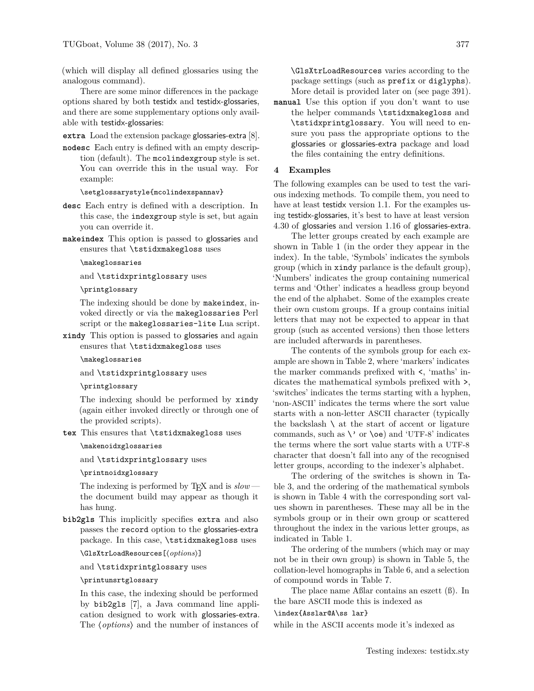(which will display all defined glossaries using the analogous command).

There are some minor differences in the package options shared by both testidx and testidx-glossaries, and there are some supplementary options only available with testidx-glossaries:

**extra** Load the extension package glossaries-extra [\[8\]](#page-26-3).

**nodesc** Each entry is defined with an empty description (default). The mcolindexgroup style is set. You can override this in the usual way. For example:

\setglossarystyle{mcolindexspannav}

- **desc** Each entry is defined with a description. In this case, the indexgroup style is set, but again you can override it.
- **makeindex** This option is passed to glossaries and ensures that \tstidxmakegloss uses

#### \makeglossaries

and \tstidxprintglossary uses

### \printglossary

The indexing should be done by makeindex, invoked directly or via the makeglossaries Perl script or the makeglossaries-lite Lua script.

**xindy** This option is passed to glossaries and again ensures that \tstidxmakegloss uses

### \makeglossaries

and \tstidxprintglossary uses

#### \printglossary

The indexing should be performed by xindy (again either invoked directly or through one of the provided scripts).

**tex** This ensures that \tstidxmakegloss uses

#### \makenoidxglossaries

and \tstidxprintglossary uses

### \printnoidxglossary

The indexing is performed by T<sub>EX</sub> and is  $slow$ the document build may appear as though it has hung.

**bib2gls** This implicitly specifies extra and also passes the record option to the glossaries-extra package. In this case, \tstidxmakegloss uses

# \GlsXtrLoadResources[⟨*options*⟩]

and \tstidxprintglossary uses

### \printunsrtglossary

In this case, the indexing should be performed by bib2gls [\[7\]](#page-26-4), a Java command line application designed to work with glossaries-extra. The ⟨*options*⟩ and the number of instances of \GlsXtrLoadResources varies according to the package settings (such as prefix or diglyphs). More detail is provided later on (see page [391\)](#page-18-0).

**manual** Use this option if you don't want to use the helper commands \tstidxmakegloss and \tstidxprintglossary. You will need to ensure you pass the appropriate options to the glossaries or glossaries-extra package and load the files containing the entry definitions.

### **4 Examples**

The following examples can be used to test the various indexing methods. To compile them, you need to have at least testidx version 1.1. For the examples using testidx-glossaries, it's best to have at least version 4.30 of glossaries and version 1.16 of glossaries-extra.

The letter groups created by each example are shown in Table [1](#page-23-0) (in the order they appear in the index). In the table, 'Symbols' indicates the symbols group (which in xindy parlance is the default group), 'Numbers' indicates the group containing numerical terms and 'Other' indicates a headless group beyond the end of the alphabet. Some of the examples create their own custom groups. If a group contains initial letters that may not be expected to appear in that group (such as accented versions) then those letters are included afterwards in parentheses.

The contents of the symbols group for each example are shown in Table [2,](#page-24-0) where 'markers' indicates the marker commands prefixed with <, 'maths' indicates the mathematical symbols prefixed with >, 'switches' indicates the terms starting with a hyphen, 'non-ASCII' indicates the terms where the sort value starts with a non-letter ASCII character (typically the backslash  $\setminus$  at the start of accent or ligature commands, such as  $\vee$  or  $\oe$  and 'UTF-8' indicates the terms where the sort value starts with a UTF-8 character that doesn't fall into any of the recognised letter groups, according to the indexer's alphabet.

The ordering of the switches is shown in Table [3,](#page-24-1) and the ordering of the mathematical symbols is shown in Table [4](#page-24-2) with the corresponding sort values shown in parentheses. These may all be in the symbols group or in their own group or scattered throughout the index in the various letter groups, as indicated in Table [1.](#page-23-0)

The ordering of the numbers (which may or may not be in their own group) is shown in Table [5,](#page-24-3) the collation-level homographs in Table [6,](#page-24-4) and a selection of compound words in Table [7.](#page-25-0)

The place name Aßlar contains an eszett (ß). In the bare ASCII mode this is indexed as

# \index{Asslar@A\ss lar}

while in the ASCII accents mode it's indexed as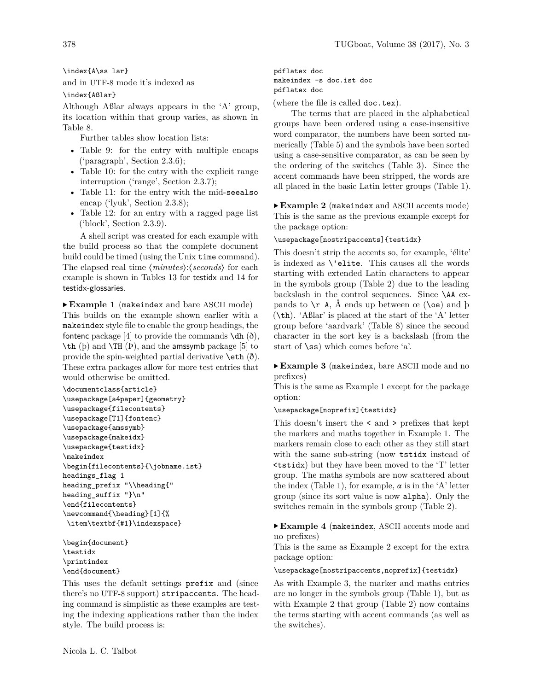\index{A\ss lar}

and in UTF-8 mode it's indexed as

\index{Aßlar}

Although Aßlar always appears in the 'A' group, its location within that group varies, as shown in Table [8.](#page-25-1)

Further tables show location lists:

- Table [9:](#page-25-2) for the entry with multiple encaps ('paragraph', Section [2.3.6\)](#page-3-0);
- Table [10:](#page-25-3) for the entry with the explicit range interruption ('range', Section [2.3.7\)](#page-3-1);
- Table [11:](#page-25-4) for the entry with the mid-seealso encap ('lyuk', Section [2.3.8\)](#page-3-2);
- Table [12:](#page-25-5) for an entry with a ragged page list ('block', Section [2.3.9\)](#page-3-3).

A shell script was created for each example with the build process so that the complete document build could be timed (using the Unix time command). The elapsed real time ⟨*minutes*⟩:⟨*seconds*⟩ for each example is shown in Tables [13](#page-26-5) for testidx and [14](#page-26-6) for testidx-glossaries.

<span id="page-5-0"></span>▶ **Example 1** (makeindex and bare ASCII mode) This builds on the example shown earlier with a makeindex style file to enable the group headings, the fontenc package [\[4\]](#page-26-7) to provide the commands  $\dagger$ dh ( $\ddagger$ ),  $\th$  (b) and  $\TH$  (P), and the amssymb package [\[5\]](#page-26-8) to provide the spin-weighted partial derivative  $\text{eth } (\delta)$ . These extra packages allow for more test entries that would otherwise be omitted.

```
\documentclass{article}
\usepackage[a4paper]{geometry}
\usepackage{filecontents}
\usepackage[T1]{fontenc}
\usepackage{amssymb}
\usepackage{makeidx}
\usepackage{testidx}
\makeindex
\begin{filecontents}{\jobname.ist}
headings_flag 1
heading_prefix "\\heading{"
heading_suffix "}\n"
\end{filecontents}
\newcommand{\heading}[1]{%
\item\textbf{#1}\indexspace}
```
\begin{document} \testidx \printindex \end{document}

This uses the default settings prefix and (since there's no UTF-8 support) stripaccents. The heading command is simplistic as these examples are testing the indexing applications rather than the index style. The build process is:

Nicola L. C. Talbot

pdflatex doc makeindex -s doc.ist doc pdflatex doc

(where the file is called doc.tex).

The terms that are placed in the alphabetical groups have been ordered using a case-insensitive word comparator, the numbers have been sorted numerically (Table [5\)](#page-24-3) and the symbols have been sorted using a case-sensitive comparator, as can be seen by the ordering of the switches (Table [3\)](#page-24-1). Since the accent commands have been stripped, the words are all placed in the basic Latin letter groups (Table [1\)](#page-23-0).

<span id="page-5-1"></span>▶ **Example 2** (makeindex and ASCII accents mode) This is the same as the previous example except for the package option:

### \usepackage[nostripaccents]{testidx}

This doesn't strip the accents so, for example, 'élite' is indexed as \'elite. This causes all the words starting with extended Latin characters to appear in the symbols group (Table [2\)](#page-24-0) due to the leading backslash in the control sequences. Since \AA expands to  $\mathcal{F}$  A, Å ends up between œ ( $\mathcal{E}$ ) and  $\mathcal{F}$ (\th). 'Aßlar' is placed at the start of the 'A' letter group before 'aardvark' (Table [8\)](#page-25-1) since the second character in the sort key is a backslash (from the start of  $\$ ss) which comes before 'a'.

# <span id="page-5-2"></span>▶ **Example 3** (makeindex, bare ASCII mode and no prefixes)

This is the same as Example [1](#page-5-0) except for the package option:

#### \usepackage[noprefix]{testidx}

This doesn't insert the < and > prefixes that kept the markers and maths together in Example [1.](#page-5-0) The markers remain close to each other as they still start with the same sub-string (now tstidx instead of <tstidx) but they have been moved to the 'T' letter group. The maths symbols are now scattered about the index (Table [1\)](#page-23-0), for example,  $\alpha$  is in the 'A' letter group (since its sort value is now alpha). Only the switches remain in the symbols group (Table [2\)](#page-24-0).

<span id="page-5-3"></span>▶ **Example 4** (makeindex, ASCII accents mode and no prefixes)

This is the same as Example [2](#page-5-1) except for the extra package option:

# \usepackage[nostripaccents,noprefix]{testidx}

As with Example [3,](#page-5-2) the marker and maths entries are no longer in the symbols group (Table [1\)](#page-23-0), but as with Example [2](#page-5-1) that group (Table [2\)](#page-24-0) now contains the terms starting with accent commands (as well as the switches).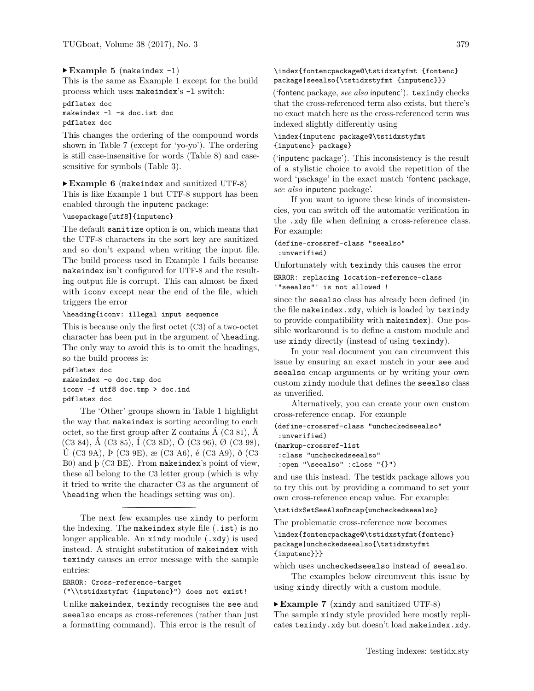### <span id="page-6-1"></span>▶ **Example 5** (makeindex -l)

This is the same as Example [1](#page-5-0) except for the build process which uses makeindex's -l switch:

### pdflatex doc makeindex -l -s doc.ist doc pdflatex doc

This changes the ordering of the compound words shown in Table [7](#page-25-0) (except for 'yo-yo'). The ordering is still case-insensitive for words (Table [8\)](#page-25-1) and casesensitive for symbols (Table [3\)](#page-24-1).

#### <span id="page-6-2"></span>▶ **Example 6** (makeindex and sanitized UTF-8)

This is like Example [1](#page-5-0) but UTF-8 support has been enabled through the inputenc package:

# \usepackage[utf8]{inputenc}

The default sanitize option is on, which means that the UTF-8 characters in the sort key are sanitized and so don't expand when writing the input file. The build process used in Example [1](#page-5-0) fails because makeindex isn't configured for UTF-8 and the resulting output file is corrupt. This can almost be fixed with iconv except near the end of the file, which triggers the error

#### \heading{iconv: illegal input sequence

This is because only the first octet (C3) of a two-octet character has been put in the argument of **\heading**. The only way to avoid this is to omit the headings, so the build process is:

#### pdflatex doc

makeindex -o doc.tmp doc iconv -f utf8 doc.tmp > doc.ind pdflatex doc

The 'Other' groups shown in Table [1](#page-23-0) highlight the way that makeindex is sorting according to each octet, so the first group after  $Z$  contains  $\dot{A}$  (C3 81),  $\ddot{A}$  $(C3 84)$ , Å  $(C3 85)$ , I  $(C3 8D)$ , Ö  $(C3 96)$ , Ø  $(C3 98)$ , Ú (C3 9A), Þ (C3 9E), æ (C3 A6), é (C3 A9), ð (C3 B0) and þ (C3 BE). From makeindex's point of view, these all belong to the C3 letter group (which is why it tried to write the character C3 as the argument of \heading when the headings setting was on).

The next few examples use xindy to perform the indexing. The makeindex style file  $(.ist)$  is no longer applicable. An xindy module (.xdy) is used instead. A straight substitution of makeindex with texindy causes an error message with the sample entries:

#### ERROR: Cross-reference-target

("\\tstidxstyfmt {inputenc}") does not exist!

Unlike makeindex, texindy recognises the see and seealso encaps as cross-references (rather than just a formatting command). This error is the result of

# \index{fontencpackage@\tstidxstyfmt {fontenc} package|seealso{\tstidxstyfmt {inputenc}}}

('fontenc package, *see also* inputenc'). texindy checks that the cross-referenced term also exists, but there's no exact match here as the cross-referenced term was indexed slightly differently using

# \index{inputenc package@\tstidxstyfmt {inputenc} package}

('inputenc package'). This inconsistency is the result of a stylistic choice to avoid the repetition of the word 'package' in the exact match 'fontenc package, *see also* inputenc package'.

If you want to ignore these kinds of inconsistencies, you can switch off the automatic verification in the .xdy file when defining a cross-reference class. For example:

(define-crossref-class "seealso" :unverified)

Unfortunately with texindy this causes the error ERROR: replacing location-reference-class `"seealso"' is not allowed !

since the seealso class has already been defined (in the file makeindex.xdy, which is loaded by texindy to provide compatibility with makeindex). One possible workaround is to define a custom module and use xindy directly (instead of using texindy).

In your real document you can circumvent this issue by ensuring an exact match in your see and seealso encap arguments or by writing your own custom xindy module that defines the seealso class as unverified.

Alternatively, you can create your own custom cross-reference encap. For example

```
(define-crossref-class "uncheckedseealso"
:unverified)
(markup-crossref-list
```

```
:class "uncheckedseealso"
:open "\seealso" :close "{}")
```
and use this instead. The testidx package allows you to try this out by providing a command to set your own cross-reference encap value. For example:

\tstidxSetSeeAlsoEncap{uncheckedseealso}

The problematic cross-reference now becomes

```
\index{fontencpackage@\tstidxstyfmt{fontenc}
package|uncheckedseealso{\tstidxstyfmt
{inputenc}}}
```
which uses uncheckedseealso instead of seealso.

The examples below circumvent this issue by using xindy directly with a custom module.

<span id="page-6-0"></span>▶ **Example 7** (xindy and sanitized UTF-8) The sample xindy style provided here mostly replicates texindy.xdy but doesn't load makeindex.xdy.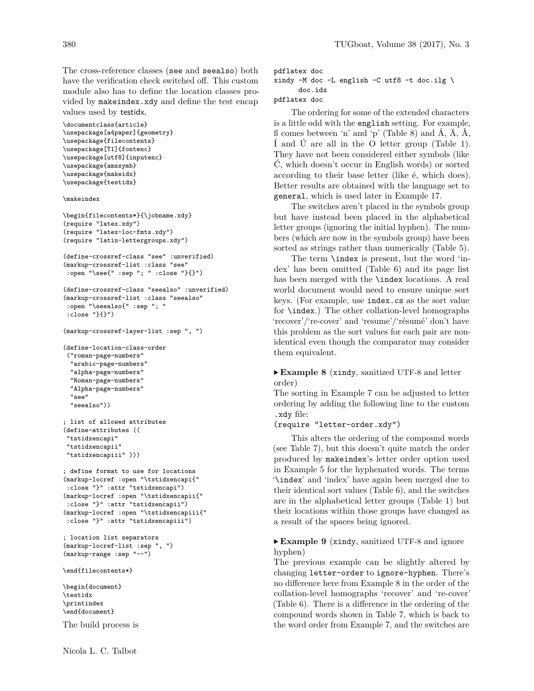The cross-reference classes (see and seealso) both have the verification check switched off. This custom module also has to define the location classes provided by makeindex.xdy and define the test encap values used by testidx.

```
\documentclass{article}
\usepackage[a4paper]{geometry}
\usepackage{filecontents}
\usepackage[T1]{fontenc}
\usepackage[utf8]{inputenc}
\usepackage{amssymb}
\usepackage{makeidx}
\usepackage{testidx}
```
\makeindex

```
\begin{filecontents*}{\jobname.xdy}
(require "latex.xdy")
(require "latex-loc-fmts.xdy")
(require "latin-lettergroups.xdy")
```

```
(define-crossref-class "see" :unverified)
(markup-crossref-list :class "see"
:open "\see{" :sep "; " :close "}{}")
```

```
(define-crossref-class "seealso" :unverified)
(markup-crossref-list :class "seealso"
:open "\seealso{" :sep "; "
:close "}{}")
```

```
(markup-crossref-layer-list :sep ", ")
```

```
(define-location-class-order
("roman-page-numbers"
  "arabic-page-numbers"
  "alpha-page-numbers"
 "Roman-page-numbers"
 "Alpha-page-numbers"
  "see"
  "seealso"))
```

```
; list of allowed attributes
(define-attributes ((
"tstidxencapi"
"tstidxencapii"
"tstidxencapiii" )))
```

```
; define format to use for locations
(markup-locref :open "\tstidxencapi{"
:close "}" :attr "tstidxencapi")
(markup-locref :open "\tstidxencapii{"
:close "}" :attr "tstidxencapii")
(markup-locref :open "\tstidxencapiii{"
:close "}" :attr "tstidxencapiii")
```

```
; location list separators
(markup-locref-list :sep ", ")
(markup-range :sep "--")
```
\end{filecontents\*}

\begin{document} \testidx \printindex \end{document}

The build process is

pdflatex doc

```
xindy -M doc -L english -C utf8 -t doc.ilg \setminus
```
doc.idx

pdflatex doc

The ordering for some of the extended characters is a little odd with the english setting. For example,  $\beta$  comes between 'n' and 'p' (Table [8\)](#page-25-1) and  $\hat{A}$ ,  $\ddot{A}$ ,  $\ddot{A}$ , Í and Ú are all in the O letter group (Table [1\)](#page-23-0). They have not been considered either symbols (like Ć, which doesn't occur in English words) or sorted according to their base letter (like é, which does). Better results are obtained with the language set to general, which is used later in Example [17.](#page-10-0)

The switches aren't placed in the symbols group but have instead been placed in the alphabetical letter groups (ignoring the initial hyphen). The numbers (which are now in the symbols group) have been sorted as strings rather than numerically (Table [5\)](#page-24-3).

The term \index is present, but the word 'index' has been omitted (Table [6\)](#page-24-4) and its page list has been merged with the \index locations. A real world document would need to ensure unique sort keys. (For example, use index.cs as the sort value for \index.) The other collation-level homographs 'recover'/'re-cover' and 'resume'/'résumé' don't have this problem as the sort values for each pair are nonidentical even though the comparator may consider them equivalent.

# <span id="page-7-0"></span>▶ **Example 8** (xindy, sanitized UTF-8 and letter order)

The sorting in Example [7](#page-6-0) can be adjusted to letter ordering by adding the following line to the custom .xdy file:

#### (require "letter-order.xdy")

This alters the ordering of the compound words (see Table [7\)](#page-25-0), but this doesn't quite match the order produced by makeindex's letter order option used in Example [5](#page-6-1) for the hyphenated words. The terms '\index' and 'index' have again been merged due to their identical sort values (Table [6\)](#page-24-4), and the switches are in the alphabetical letter groups (Table [1\)](#page-23-0) but their locations within those groups have changed as a result of the spaces being ignored.

# <span id="page-7-1"></span>▶ **Example 9** (xindy, sanitized UTF-8 and ignore hyphen)

The previous example can be slightly altered by changing letter-order to ignore-hyphen. There's no difference here from Example [8](#page-7-0) in the order of the collation-level homographs 'recover' and 're-cover' (Table [6\)](#page-24-4). There is a difference in the ordering of the compound words shown in Table [7,](#page-25-0) which is back to the word order from Example [7,](#page-6-0) and the switches are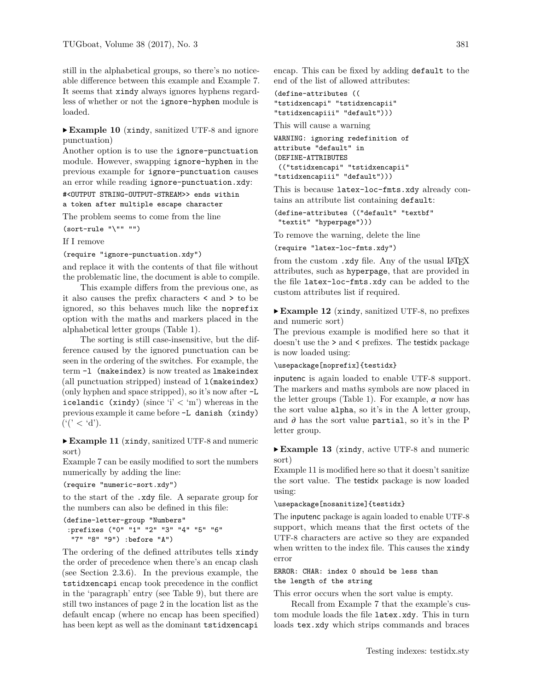still in the alphabetical groups, so there's no noticeable difference between this example and Example [7.](#page-6-0) It seems that xindy always ignores hyphens regardless of whether or not the ignore-hyphen module is loaded.

# <span id="page-8-1"></span>▶ **Example 10** (xindy, sanitized UTF-8 and ignore punctuation)

Another option is to use the ignore-punctuation module. However, swapping ignore-hyphen in the previous example for ignore-punctuation causes an error while reading ignore-punctuation.xdy:

#<OUTPUT STRING-OUTPUT-STREAM>> ends within

# a token after multiple escape character

The problem seems to come from the line

 $(sort-rule "\\ " " " "")$ 

If I remove

(require "ignore-punctuation.xdy")

and replace it with the contents of that file without the problematic line, the document is able to compile.

This example differs from the previous one, as it also causes the prefix characters < and > to be ignored, so this behaves much like the noprefix option with the maths and markers placed in the alphabetical letter groups (Table [1\)](#page-23-0).

The sorting is still case-insensitive, but the difference caused by the ignored punctuation can be seen in the ordering of the switches. For example, the term -l (makeindex) is now treated as lmakeindex (all punctuation stripped) instead of l(makeindex) (only hyphen and space stripped), so it's now after -L icelandic (xindy) (since 'i'  $\langle$  'm') whereas in the previous example it came before -L danish (xindy)  $('(' < 'd').$ 

<span id="page-8-0"></span>▶ **Example 11** (xindy, sanitized UTF-8 and numeric sort)

Example [7](#page-6-0) can be easily modified to sort the numbers numerically by adding the line:

```
(require "numeric-sort.xdy")
```
to the start of the .xdy file. A separate group for the numbers can also be defined in this file:

```
(define-letter-group "Numbers"
:prefixes ("0" "1" "2" "3" "4" "5" "6"
 "7" "8" "9") :before "A")
```
The ordering of the defined attributes tells xindy the order of precedence when there's an encap clash (see Section [2.3.6\)](#page-3-0). In the previous example, the tstidxencapi encap took precedence in the conflict in the 'paragraph' entry (see Table [9\)](#page-25-2), but there are still two instances of page 2 in the location list as the default encap (where no encap has been specified) has been kept as well as the dominant tstidxencapi encap. This can be fixed by adding default to the end of the list of allowed attributes:

```
(define-attributes ((
"tstidxencapi" "tstidxencapii"
"tstidxencapiii" "default")))
```
This will cause a warning

```
WARNING: ignoring redefinition of
attribute "default" in
(DEFINE-ATTRIBUTES
(("tstidxencapi" "tstidxencapii"
"tstidxencapiii" "default")))
```
This is because latex-loc-fmts.xdy already contains an attribute list containing default:

(define-attributes (("default" "textbf" "textit" "hyperpage")))

To remove the warning, delete the line

(require "latex-loc-fmts.xdy")

from the custom  $.xdy$  file. Any of the usual  $\angle ATFX$ attributes, such as hyperpage, that are provided in the file latex-loc-fmts.xdy can be added to the custom attributes list if required.

<span id="page-8-2"></span>▶ **Example 12** (xindy, sanitized UTF-8, no prefixes and numeric sort)

The previous example is modified here so that it doesn't use the > and < prefixes. The testidx package is now loaded using:

```
\usepackage[noprefix]{testidx}
```
inputenc is again loaded to enable UTF-8 support. The markers and maths symbols are now placed in the letter groups (Table [1\)](#page-23-0). For example,  $\alpha$  now has the sort value alpha, so it's in the A letter group, and  $\partial$  has the sort value partial, so it's in the P letter group.

<span id="page-8-3"></span>▶ **Example 13** (xindy, active UTF-8 and numeric sort)

Example [11](#page-8-0) is modified here so that it doesn't sanitize the sort value. The testidx package is now loaded using:

### \usepackage[nosanitize]{testidx}

The inputenc package is again loaded to enable UTF-8 support, which means that the first octets of the UTF-8 characters are active so they are expanded when written to the index file. This causes the xindy error

```
ERROR: CHAR: index 0 should be less than
the length of the string
```
This error occurs when the sort value is empty.

Recall from Example [7](#page-6-0) that the example's custom module loads the file latex.xdy. This in turn loads tex.xdy which strips commands and braces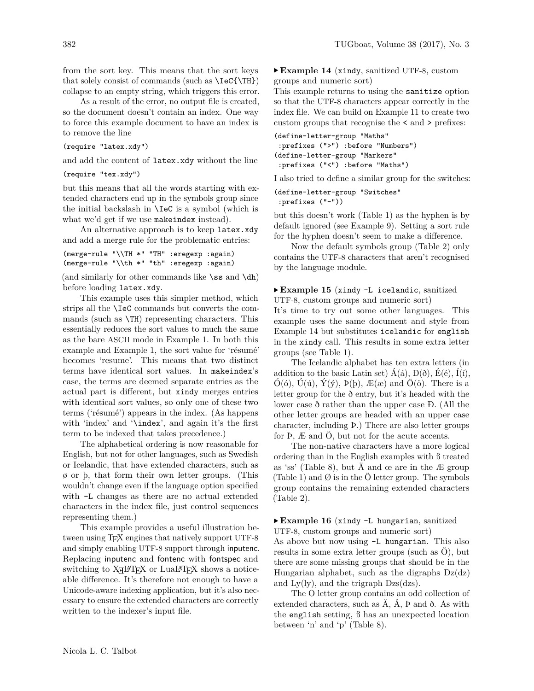from the sort key. This means that the sort keys that solely consist of commands (such as \IeC{\TH}) collapse to an empty string, which triggers this error.

As a result of the error, no output file is created, so the document doesn't contain an index. One way to force this example document to have an index is to remove the line

#### (require "latex.xdy")

and add the content of latex.xdy without the line

(require "tex.xdy")

but this means that all the words starting with extended characters end up in the symbols group since the initial backslash in \IeC is a symbol (which is what we'd get if we use makeindex instead).

An alternative approach is to keep latex.xdy and add a merge rule for the problematic entries:

```
(merge-rule "\\TH *" "TH" :eregexp :again)
(merge-rule "\\th *" "th" :eregexp :again)
```
(and similarly for other commands like  $\$ ss and  $\dh$ ) before loading latex.xdy.

This example uses this simpler method, which strips all the \IeC commands but converts the commands (such as \TH) representing characters. This essentially reduces the sort values to much the same as the bare ASCII mode in Example [1.](#page-5-0) In both this example and Example [1,](#page-5-0) the sort value for 'résumé' becomes 'resume'. This means that two distinct terms have identical sort values. In makeindex's case, the terms are deemed separate entries as the actual part is different, but xindy merges entries with identical sort values, so only one of these two terms ('résumé') appears in the index. (As happens with 'index' and '\index', and again it's the first term to be indexed that takes precedence.)

The alphabetical ordering is now reasonable for English, but not for other languages, such as Swedish or Icelandic, that have extended characters, such as ø or þ, that form their own letter groups. (This wouldn't change even if the language option specified with -L changes as there are no actual extended characters in the index file, just control sequences representing them.)

This example provides a useful illustration between using T<sub>F</sub>X engines that natively support UTF-8 and simply enabling UTF-8 support through inputenc. Replacing inputenc and fontenc with fontspec and switching to  $X \rightarrow Y$  or LuaLAT<sub>E</sub>X shows a noticeable difference. It's therefore not enough to have a Unicode-aware indexing application, but it's also necessary to ensure the extended characters are correctly written to the indexer's input file.

<span id="page-9-0"></span>▶ **Example 14** (xindy, sanitized UTF-8, custom groups and numeric sort)

This example returns to using the sanitize option so that the UTF-8 characters appear correctly in the index file. We can build on Example [11](#page-8-0) to create two custom groups that recognise the < and > prefixes:

```
(define-letter-group "Maths"
:prefixes (">") :before "Numbers")
(define-letter-group "Markers"
 :prefixes ("<") :before "Maths")
```
I also tried to define a similar group for the switches:

```
(define-letter-group "Switches"
:prefixes ("-"))
```
but this doesn't work (Table [1\)](#page-23-0) as the hyphen is by default ignored (see Example [9\)](#page-7-1). Setting a sort rule for the hyphen doesn't seem to make a difference.

Now the default symbols group (Table [2\)](#page-24-0) only contains the UTF-8 characters that aren't recognised by the language module.

# <span id="page-9-1"></span>▶ **Example 15** (xindy -L icelandic, sanitized UTF-8, custom groups and numeric sort)

It's time to try out some other languages. This example uses the same document and style from Example [14](#page-9-0) but substitutes icelandic for english in the xindy call. This results in some extra letter groups (see Table [1\)](#page-23-0).

The Icelandic alphabet has ten extra letters (in addition to the basic Latin set)  $\hat{A}(\acute{a}), B(\delta), \hat{E}(\acute{e}), \hat{I}(\acute{i}),$  $\hat{O}(6)$ ,  $\hat{U}(\hat{u})$ ,  $\hat{Y}(\hat{y})$ ,  $P(\hat{p})$ ,  $E(\hat{\alpha})$  and  $\hat{O}(\hat{o})$ . There is a letter group for the ð entry, but it's headed with the lower case ð rather than the upper case Ð. (All the other letter groups are headed with an upper case character, including Þ.) There are also letter groups for Þ, Æ and Ö, but not for the acute accents.

The non-native characters have a more logical ordering than in the English examples with ß treated as 'ss' (Table [8\)](#page-25-1), but Ä and œ are in the Æ group (Table [1\)](#page-23-0) and  $\emptyset$  is in the Ö letter group. The symbols group contains the remaining extended characters (Table [2\)](#page-24-0).

# <span id="page-9-2"></span>▶ **Example 16** (xindy -L hungarian, sanitized UTF-8, custom groups and numeric sort)

As above but now using -L hungarian. This also results in some extra letter groups (such as Ö), but there are some missing groups that should be in the Hungarian alphabet, such as the digraphs Dz(dz) and  $Ly(ly)$ , and the trigraph  $Dzs(dzs)$ .

The O letter group contains an odd collection of extended characters, such as  $\ddot{A}$ ,  $\ddot{A}$ ,  $\ddot{P}$  and  $\ddot{O}$ . As with the english setting, ß has an unexpected location between 'n' and 'p' (Table [8\)](#page-25-1).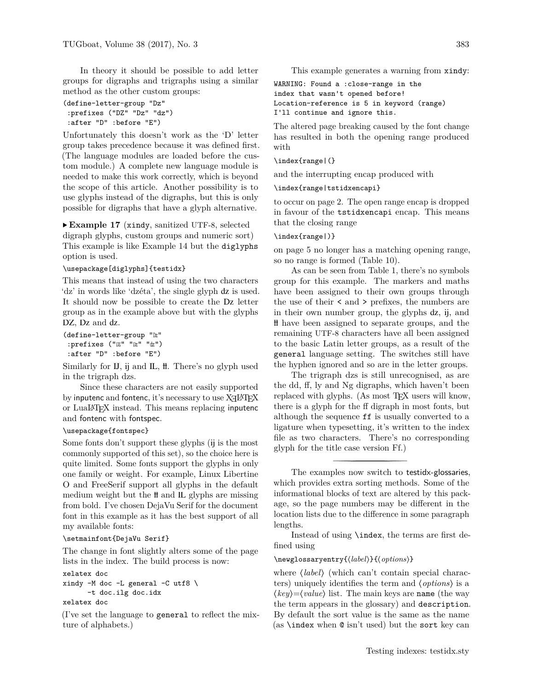In theory it should be possible to add letter groups for digraphs and trigraphs using a similar method as the other custom groups:

```
(define-letter-group "Dz"
:prefixes ("DZ" "Dz" "dz")
:after "D" :before "E")
```
Unfortunately this doesn't work as the 'D' letter group takes precedence because it was defined first. (The language modules are loaded before the custom module.) A complete new language module is needed to make this work correctly, which is beyond the scope of this article. Another possibility is to use glyphs instead of the digraphs, but this is only possible for digraphs that have a glyph alternative.

# <span id="page-10-0"></span>▶ **Example 17** (xindy, sanitized UTF-8, selected

digraph glyphs, custom groups and numeric sort) This example is like Example [14](#page-9-0) but the diglyphs option is used.

#### \usepackage[diglyphs]{testidx}

This means that instead of using the two characters 'dz' in words like 'dzéta', the single glyph dz is used. It should now be possible to create the Dz letter group as in the example above but with the glyphs DZ, Dz and dz.

```
(define-letter-group "
Dz"
 :prefixes ("DZ" "Dz" "dz")
 :after "D" :before "E")
```
Similarly for IJ, ij and IL, H. There's no glyph used in the trigraph dzs.

Since these characters are not easily supported by inputenc and fontenc, it's necessary to use  $\mathrm{Xg} \mathrm{L} \mathrm{A} \mathrm{I} \mathrm{F} \mathrm{X}$ or LuaLATEX instead. This means replacing inputenc and fontenc with fontspec.

# \usepackage{fontspec}

Some fonts don't support these glyphs ( ij is the most commonly supported of this set), so the choice here is quite limited. Some fonts support the glyphs in only one family or weight. For example, Linux Libertine O and FreeSerif support all glyphs in the default medium weight but the  $\text{H}$  and IL glyphs are missing from bold. I've chosen DejaVu Serif for the document font in this example as it has the best support of all my available fonts:

#### \setmainfont{DejaVu Serif}

The change in font slightly alters some of the page lists in the index. The build process is now:

#### xelatex doc

```
xindy -M doc -L general -C utf8 \setminus-t doc.ilg doc.idx
xelatex doc
```
(I've set the language to general to reflect the mixture of alphabets.)

This example generates a warning from xindy:

WARNING: Found a :close-range in the index that wasn't opened before! Location-reference is 5 in keyword (range) I'll continue and ignore this.

The altered page breaking caused by the font change has resulted in both the opening range produced with

#### \index{range|(}

and the interrupting encap produced with

\index{range|tstidxencapi}

to occur on page 2. The open range encap is dropped in favour of the tstidxencapi encap. This means that the closing range

#### \index{range|)}

on page 5 no longer has a matching opening range, so no range is formed (Table [10\)](#page-25-3).

As can be seen from Table [1,](#page-23-0) there's no symbols group for this example. The markers and maths have been assigned to their own groups through the use of their < and > prefixes, the numbers are in their own number group, the glyphs dz, ij , and ỻ have been assigned to separate groups, and the remaining UTF-8 characters have all been assigned to the basic Latin letter groups, as a result of the general language setting. The switches still have the hyphen ignored and so are in the letter groups.

The trigraph dzs is still unrecognised, as are the dd, ff, ly and Ng digraphs, which haven't been replaced with glyphs. (As most T<sub>F</sub>X users will know, there is a glyph for the ff digraph in most fonts, but although the sequence ff is usually converted to a ligature when typesetting, it's written to the index file as two characters. There's no corresponding glyph for the title case version Ff.)

The examples now switch to testidx-glossaries, which provides extra sorting methods. Some of the informational blocks of text are altered by this package, so the page numbers may be different in the location lists due to the difference in some paragraph lengths.

Instead of using \index, the terms are first defined using

# \newglossaryentry{⟨*label*⟩}{⟨*options*⟩}

where  $\langle$ *label* $\rangle$  (which can't contain special characters) uniquely identifies the term and ⟨*options*⟩ is a ⟨*key*⟩=⟨*value*⟩ list. The main keys are name (the way the term appears in the glossary) and description. By default the sort value is the same as the name (as \index when @ isn't used) but the sort key can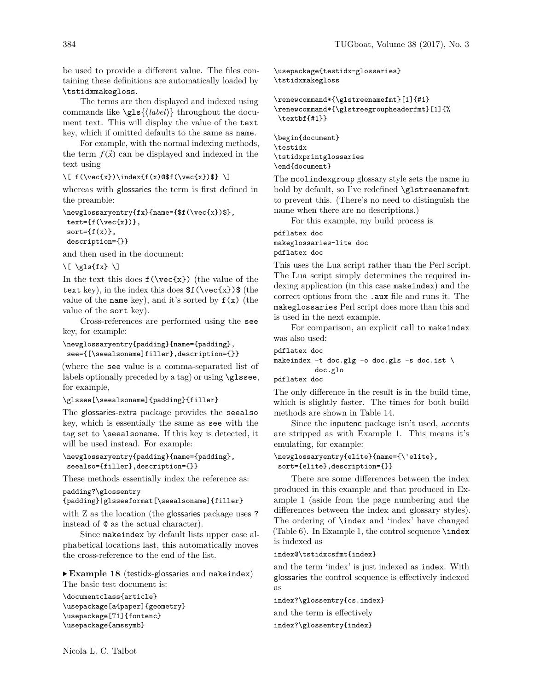be used to provide a different value. The files containing these definitions are automatically loaded by \tstidxmakegloss.

The terms are then displayed and indexed using commands like \gls{⟨*label*⟩} throughout the document text. This will display the value of the text key, which if omitted defaults to the same as name.

For example, with the normal indexing methods, the term  $f(\vec{x})$  can be displayed and indexed in the text using

 $\[\int f(\vec{x})\hat{f}(x)\hat{f}(\vec{x}))\hat{f}(\vec{x})\hat{f}(\vec{x})\]$ 

whereas with glossaries the term is first defined in the preamble:

```
\newglossaryentry{fx}{name={$f(\vec{x})$},
text=\{f(\text{vec}\{x\})\},\sort={f(x)},
description={}}
```
and then used in the document:

 $\[\ \{gls\{fx\}\ \]\]$ 

In the text this does  $f(\vec{x})$  (the value of the text key), in the index this does  $f(\vec{x})$  (the value of the name key), and it's sorted by  $f(x)$  (the value of the sort key).

Cross-references are performed using the see key, for example:

```
\newglossaryentry{padding}{name={padding},
see={[\seealsoname]filler},description={}}
```
(where the see value is a comma-separated list of labels optionally preceded by a tag) or using \glssee, for example,

#### \glssee[\seealsoname]{padding}{filler}

The glossaries-extra package provides the seealso key, which is essentially the same as see with the tag set to \seealsoname. If this key is detected, it will be used instead. For example:

```
\newglossaryentry{padding}{name={padding},
seealso={filler},description={}}
```
These methods essentially index the reference as:

```
padding?\glossentry
{padding}|glsseeformat[\seealsoname]{filler}
```
with Z as the location (the glossaries package uses? instead of @ as the actual character).

Since makeindex by default lists upper case alphabetical locations last, this automatically moves the cross-reference to the end of the list.

<span id="page-11-0"></span>▶ **Example 18** (testidx-glossaries and makeindex) The basic test document is:

```
\documentclass{article}
\usepackage[a4paper]{geometry}
\usepackage[T1]{fontenc}
\usepackage{amssymb}
```
\usepackage{testidx-glossaries} \tstidxmakegloss

```
\renewcommand*{\glstreenamefmt}[1]{#1}
\renewcommand*{\glstreegroupheaderfmt}[1]{%
\textbf{#1}}
```
\begin{document} \testidx \tstidxprintglossaries \end{document}

The mcolindexgroup glossary style sets the name in bold by default, so I've redefined \glstreenamefmt to prevent this. (There's no need to distinguish the name when there are no descriptions.)

For this example, my build process is

# pdflatex doc makeglossaries-lite doc pdflatex doc

This uses the Lua script rather than the Perl script. The Lua script simply determines the required indexing application (in this case makeindex) and the correct options from the .aux file and runs it. The makeglossaries Perl script does more than this and is used in the next example.

For comparison, an explicit call to makeindex was also used:

```
pdflatex doc
makeindex -t doc.glg -o doc.gls -s doc.ist \
          doc.glo
```
pdflatex doc

The only difference in the result is in the build time, which is slightly faster. The times for both build methods are shown in Table [14.](#page-26-6)

Since the inputenc package isn't used, accents are stripped as with Example [1.](#page-5-0) This means it's emulating, for example:

```
\newglossaryentry{elite}{name={\'elite},
sort={elite},description={}}
```
There are some differences between the index produced in this example and that produced in Example [1](#page-5-0) (aside from the page numbering and the differences between the index and glossary styles). The ordering of \index and 'index' have changed (Table [6\)](#page-24-4). In Example [1,](#page-5-0) the control sequence \index is indexed as

#### index@\tstidxcsfmt{index}

and the term 'index' is just indexed as index. With glossaries the control sequence is effectively indexed as

index?\glossentry{cs.index} and the term is effectively

index?\glossentry{index}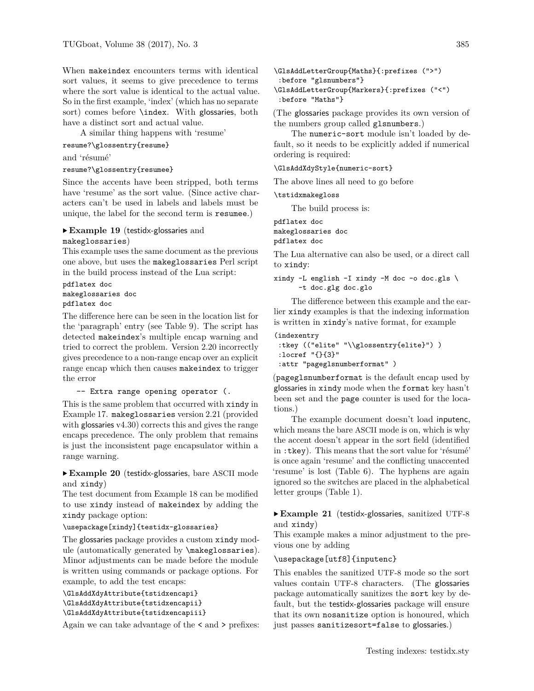When makeindex encounters terms with identical sort values, it seems to give precedence to terms where the sort value is identical to the actual value. So in the first example, 'index' (which has no separate sort) comes before \index. With glossaries, both have a distinct sort and actual value.

A similar thing happens with 'resume'

resume?\glossentry{resume}

and 'résumé'

```
resume?\glossentry{resumee}
```
Since the accents have been stripped, both terms have 'resume' as the sort value. (Since active characters can't be used in labels and labels must be unique, the label for the second term is resumee.)

# <span id="page-12-0"></span>▶ **Example 19** (testidx-glossaries and

makeglossaries)

This example uses the same document as the previous one above, but uses the makeglossaries Perl script in the build process instead of the Lua script:

pdflatex doc makeglossaries doc pdflatex doc

The difference here can be seen in the location list for the 'paragraph' entry (see Table [9\)](#page-25-2). The script has detected makeindex's multiple encap warning and tried to correct the problem. Version 2.20 incorrectly gives precedence to a non-range encap over an explicit range encap which then causes makeindex to trigger the error

-- Extra range opening operator (.

This is the same problem that occurred with xindy in Example [17.](#page-10-0) makeglossaries version 2.21 (provided with glossaries v4.30) corrects this and gives the range encaps precedence. The only problem that remains is just the inconsistent page encapsulator within a range warning.

<span id="page-12-1"></span>▶ **Example 20** (testidx-glossaries, bare ASCII mode and xindy)

The test document from Example [18](#page-11-0) can be modified to use xindy instead of makeindex by adding the xindy package option:

# \usepackage[xindy]{testidx-glossaries}

The glossaries package provides a custom xindy module (automatically generated by \makeglossaries). Minor adjustments can be made before the module is written using commands or package options. For example, to add the test encaps:

```
\GlsAddXdyAttribute{tstidxencapi}
\GlsAddXdyAttribute{tstidxencapii}
\GlsAddXdyAttribute{tstidxencapiii}
```
Again we can take advantage of the < and > prefixes:

```
\GlsAddLetterGroup{Maths}{:prefixes (">")
:before "glsnumbers"}
\GlsAddLetterGroup{Markers}{:prefixes ("<")
:before "Maths"}
```
(The glossaries package provides its own version of

the numbers group called glsnumbers.) The numeric-sort module isn't loaded by default, so it needs to be explicitly added if numerical ordering is required:

### \GlsAddXdyStyle{numeric-sort}

The above lines all need to go before

\tstidxmakegloss

The build process is:

pdflatex doc makeglossaries doc pdflatex doc

The Lua alternative can also be used, or a direct call to xindy:

xindy -L english -I xindy -M doc -o doc.gls \ -t doc.glg doc.glo

The difference between this example and the earlier xindy examples is that the indexing information is written in xindy's native format, for example

```
(indexentry
 :tkey (("elite" "\\glossentry{elite}") )
 :locref "{}{3}"
 :attr "pageglsnumberformat" )
```
(pageglsnumberformat is the default encap used by glossaries in xindy mode when the format key hasn't been set and the page counter is used for the locations.)

The example document doesn't load inputenc, which means the bare ASCII mode is on, which is why the accent doesn't appear in the sort field (identified in :tkey). This means that the sort value for 'résumé' is once again 'resume' and the conflicting unaccented 'resume' is lost (Table [6\)](#page-24-4). The hyphens are again ignored so the switches are placed in the alphabetical letter groups (Table [1\)](#page-23-0).

<span id="page-12-2"></span>▶ **Example 21** (testidx-glossaries, sanitized UTF-8 and xindy)

This example makes a minor adjustment to the previous one by adding

# \usepackage[utf8]{inputenc}

This enables the sanitized UTF-8 mode so the sort values contain UTF-8 characters. (The glossaries package automatically sanitizes the sort key by default, but the testidx-glossaries package will ensure that its own nosanitize option is honoured, which just passes sanitizesort=false to glossaries.)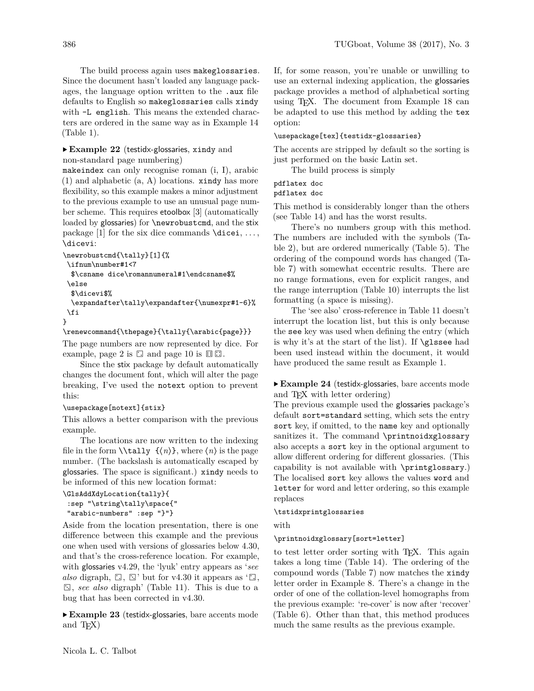The build process again uses makeglossaries. Since the document hasn't loaded any language packages, the language option written to the .aux file defaults to English so makeglossaries calls xindy with  $-L$  english. This means the extended characters are ordered in the same way as in Example [14](#page-9-0) (Table [1\)](#page-23-0).

# <span id="page-13-2"></span>▶ **Example 22** (testidx-glossaries, xindy and non-standard page numbering)

makeindex can only recognise roman (i, I), arabic (1) and alphabetic (a, A) locations. xindy has more flexibility, so this example makes a minor adjustment to the previous example to use an unusual page number scheme. This requires etoolbox [\[3\]](#page-26-9) (automatically loaded by glossaries) for **\newrobustcmd**, and the stix package [\[1\]](#page-26-10) for the six dice commands  $\text{dicei}, \ldots$ , \dicevi:

```
\newrobustcmd{\tally}[1]{%
```

```
\ifnum\number#1<7
 $\csname dice\romannumeral#1\endcsname$%
\else
  $\dicevi$%
  \expandafter\tally\expandafter{\numexpr#1-6}%
\fi
}
```
# \renewcommand{\thepage}{\tally{\arabic{page}}}

```
The page numbers are now represented by dice. For
example, page 2 is \square and page 10 is \square \square.
```
Since the stix package by default automatically changes the document font, which will alter the page breaking, I've used the notext option to prevent this:

# \usepackage[notext]{stix}

This allows a better comparison with the previous example.

The locations are now written to the indexing file in the form  $\tilde{\langle n \rangle}$ , where  $\langle n \rangle$  is the page number. (The backslash is automatically escaped by glossaries. The space is significant.) xindy needs to be informed of this new location format:

```
\GlsAddXdyLocation{tally}{
 :sep "\string\tally\space{"
"arabic-numbers" :sep "}"}
```
Aside from the location presentation, there is one difference between this example and the previous one when used with versions of glossaries below 4.30, and that's the cross-reference location. For example, with glossaries v4.29, the 'lyuk' entry appears as '*see also* digraph,  $\square$ ,  $\square'$  but for v4.30 it appears as ' $\square$ , ⚂, *see also* digraph' (Table [11\)](#page-25-4). This is due to a bug that has been corrected in v4.30.

<span id="page-13-1"></span>▶ **Example 23** (testidx-glossaries, bare accents mode and T<sub>F</sub>X)

If, for some reason, you're unable or unwilling to use an external indexing application, the glossaries package provides a method of alphabetical sorting using TEX. The document from Example [18](#page-11-0) can be adapted to use this method by adding the tex option:

# \usepackage[tex]{testidx-glossaries}

The accents are stripped by default so the sorting is just performed on the basic Latin set.

The build process is simply

# pdflatex doc

# pdflatex doc

This method is considerably longer than the others (see Table [14\)](#page-26-6) and has the worst results.

There's no numbers group with this method. The numbers are included with the symbols (Table [2\)](#page-24-0), but are ordered numerically (Table [5\)](#page-24-3). The ordering of the compound words has changed (Table [7\)](#page-25-0) with somewhat eccentric results. There are no range formations, even for explicit ranges, and the range interruption (Table [10\)](#page-25-3) interrupts the list formatting (a space is missing).

The 'see also' cross-reference in Table [11](#page-25-4) doesn't interrupt the location list, but this is only because the see key was used when defining the entry (which is why it's at the start of the list). If \glssee had been used instead within the document, it would have produced the same result as Example [1.](#page-5-0)

# <span id="page-13-0"></span>▶ **Example 24** (testidx-glossaries, bare accents mode and T<sub>F</sub>X with letter ordering)

The previous example used the glossaries package's default sort=standard setting, which sets the entry sort key, if omitted, to the name key and optionally sanitizes it. The command \printnoidxglossary also accepts a sort key in the optional argument to allow different ordering for different glossaries. (This capability is not available with \printglossary.) The localised sort key allows the values word and letter for word and letter ordering, so this example replaces

# \tstidxprintglossaries

# with

# \printnoidxglossary[sort=letter]

to test letter order sorting with T<sub>E</sub>X. This again takes a long time (Table [14\)](#page-26-6). The ordering of the compound words (Table [7\)](#page-25-0) now matches the xindy letter order in Example [8.](#page-7-0) There's a change in the order of one of the collation-level homographs from the previous example: 're-cover' is now after 'recover' (Table [6\)](#page-24-4). Other than that, this method produces much the same results as the previous example.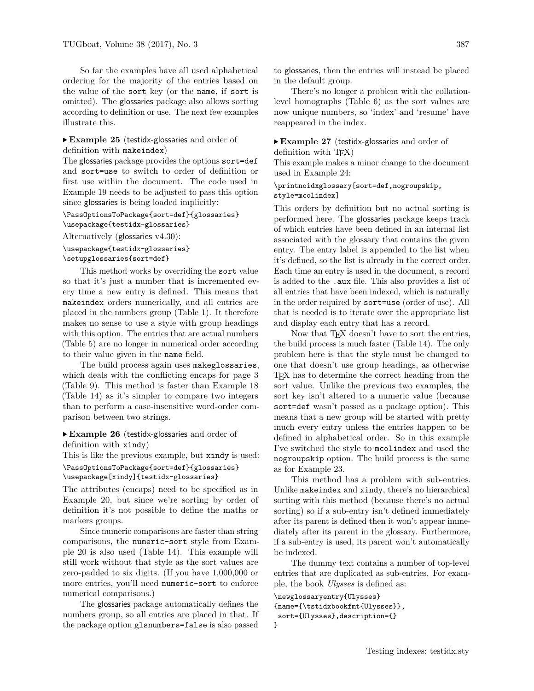So far the examples have all used alphabetical ordering for the majority of the entries based on the value of the sort key (or the name, if sort is omitted). The glossaries package also allows sorting according to definition or use. The next few examples illustrate this.

# <span id="page-14-1"></span>▶ **Example 25** (testidx-glossaries and order of definition with makeindex)

The glossaries package provides the options sort=def and sort=use to switch to order of definition or first use within the document. The code used in Example [19](#page-12-0) needs to be adjusted to pass this option since glossaries is being loaded implicitly:

# \PassOptionsToPackage{sort=def}{glossaries} \usepackage{testidx-glossaries}

Alternatively (glossaries v4.30):

# \usepackage{testidx-glossaries} \setupglossaries{sort=def}

This method works by overriding the sort value so that it's just a number that is incremented every time a new entry is defined. This means that makeindex orders numerically, and all entries are placed in the numbers group (Table [1\)](#page-23-0). It therefore makes no sense to use a style with group headings with this option. The entries that are actual numbers (Table [5\)](#page-24-3) are no longer in numerical order according to their value given in the name field.

The build process again uses makeglossaries, which deals with the conflicting encaps for page 3 (Table [9\)](#page-25-2). This method is faster than Example [18](#page-11-0) (Table [14\)](#page-26-6) as it's simpler to compare two integers than to perform a case-insensitive word-order comparison between two strings.

# <span id="page-14-2"></span>▶ **Example 26** (testidx-glossaries and order of definition with xindy)

This is like the previous example, but xindy is used: \PassOptionsToPackage{sort=def}{glossaries} \usepackage[xindy]{testidx-glossaries}

```
The attributes (encaps) need to be specified as in
Example 20, but since we're sorting by order of
```
definition it's not possible to define the maths or markers groups.

Since numeric comparisons are faster than string comparisons, the numeric-sort style from Example [20](#page-12-1) is also used (Table [14\)](#page-26-6). This example will still work without that style as the sort values are zero-padded to six digits. (If you have 1,000,000 or more entries, you'll need numeric-sort to enforce numerical comparisons.)

The glossaries package automatically defines the numbers group, so all entries are placed in that. If the package option glsnumbers=false is also passed

There's no longer a problem with the collationlevel homographs (Table [6\)](#page-24-4) as the sort values are now unique numbers, so 'index' and 'resume' have reappeared in the index.

#### <span id="page-14-0"></span>▶ **Example 27** (testidx-glossaries and order of definition with T<sub>F</sub>X)

This example makes a minor change to the document used in Example [24:](#page-13-0)

# \printnoidxglossary[sort=def,nogroupskip, style=mcolindex]

This orders by definition but no actual sorting is performed here. The glossaries package keeps track of which entries have been defined in an internal list associated with the glossary that contains the given entry. The entry label is appended to the list when it's defined, so the list is already in the correct order. Each time an entry is used in the document, a record is added to the .aux file. This also provides a list of all entries that have been indexed, which is naturally in the order required by sort=use (order of use). All that is needed is to iterate over the appropriate list and display each entry that has a record.

Now that T<sub>EX</sub> doesn't have to sort the entries, the build process is much faster (Table [14\)](#page-26-6). The only problem here is that the style must be changed to one that doesn't use group headings, as otherwise TEX has to determine the correct heading from the sort value. Unlike the previous two examples, the sort key isn't altered to a numeric value (because sort=def wasn't passed as a package option). This means that a new group will be started with pretty much every entry unless the entries happen to be defined in alphabetical order. So in this example I've switched the style to mcolindex and used the nogroupskip option. The build process is the same as for Example [23.](#page-13-1)

This method has a problem with sub-entries. Unlike makeindex and xindy, there's no hierarchical sorting with this method (because there's no actual sorting) so if a sub-entry isn't defined immediately after its parent is defined then it won't appear immediately after its parent in the glossary. Furthermore, if a sub-entry is used, its parent won't automatically be indexed.

The dummy text contains a number of top-level entries that are duplicated as sub-entries. For example, the book *Ulysses* is defined as:

```
\newglossaryentry{Ulysses}
{name={\tstidxbookfmt{Ulysses}},
sort={Ulysses},description={}
}
```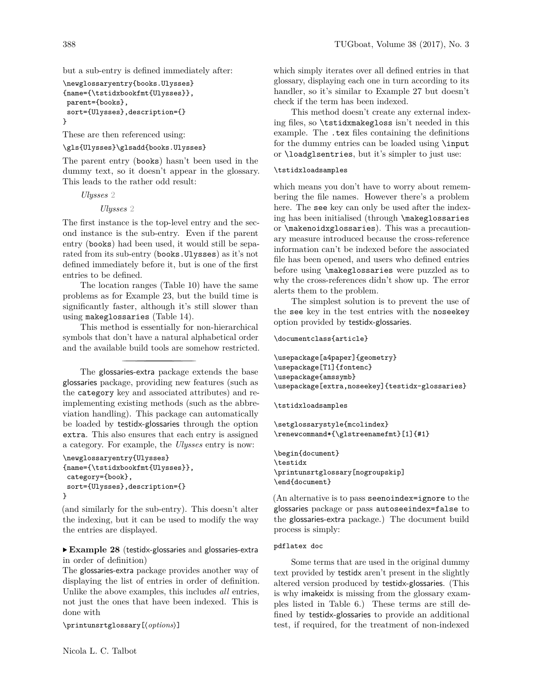but a sub-entry is defined immediately after:

```
\newglossaryentry{books.Ulysses}
{name={\tstidxbookfmt{Ulysses}},
parent={books},
sort={Ulysses},description={}
}
```
These are then referenced using:

\gls{Ulysses}\glsadd{books.Ulysses}

The parent entry (books) hasn't been used in the dummy text, so it doesn't appear in the glossary. This leads to the rather odd result:

*Ulysses* 2

*Ulysses* 2

The first instance is the top-level entry and the second instance is the sub-entry. Even if the parent entry (books) had been used, it would still be separated from its sub-entry (books.Ulysses) as it's not defined immediately before it, but is one of the first entries to be defined.

The location ranges (Table [10\)](#page-25-3) have the same problems as for Example [23,](#page-13-1) but the build time is significantly faster, although it's still slower than using makeglossaries (Table [14\)](#page-26-6).

This method is essentially for non-hierarchical symbols that don't have a natural alphabetical order and the available build tools are somehow restricted.

The glossaries-extra package extends the base glossaries package, providing new features (such as the category key and associated attributes) and reimplementing existing methods (such as the abbreviation handling). This package can automatically be loaded by testidx-glossaries through the option extra. This also ensures that each entry is assigned a category. For example, the *Ulysses* entry is now:

```
\newglossaryentry{Ulysses}
{name={\tstidxbookfmt{Ulysses}},
category={book},
sort={Ulysses},description={}
}
```
(and similarly for the sub-entry). This doesn't alter the indexing, but it can be used to modify the way the entries are displayed.

### <span id="page-15-0"></span>▶ **Example 28** (testidx-glossaries and glossaries-extra in order of definition)

The glossaries-extra package provides another way of displaying the list of entries in order of definition. Unlike the above examples, this includes *all* entries, not just the ones that have been indexed. This is done with

\printunsrtglossary[⟨*options*⟩]

which simply iterates over all defined entries in that glossary, displaying each one in turn according to its handler, so it's similar to Example [27](#page-14-0) but doesn't check if the term has been indexed.

This method doesn't create any external indexing files, so \tstidxmakegloss isn't needed in this example. The .tex files containing the definitions for the dummy entries can be loaded using \input or \loadglsentries, but it's simpler to just use:

#### \tstidxloadsamples

which means you don't have to worry about remembering the file names. However there's a problem here. The see key can only be used after the indexing has been initialised (through \makeglossaries or \makenoidxglossaries). This was a precautionary measure introduced because the cross-reference information can't be indexed before the associated file has been opened, and users who defined entries before using \makeglossaries were puzzled as to why the cross-references didn't show up. The error alerts them to the problem.

The simplest solution is to prevent the use of the see key in the test entries with the noseekey option provided by testidx-glossaries.

```
\documentclass{article}
```

```
\usepackage[a4paper]{geometry}
\usepackage[T1]{fontenc}
\usepackage{amssymb}
\usepackage[extra,noseekey]{testidx-glossaries}
```
\tstidxloadsamples

\setglossarystyle{mcolindex} \renewcommand\*{\glstreenamefmt}[1]{#1}

\begin{document} \testidx \printunsrtglossary[nogroupskip] \end{document}

(An alternative is to pass seenoindex=ignore to the glossaries package or pass autoseeindex=false to the glossaries-extra package.) The document build process is simply:

# pdflatex doc

Some terms that are used in the original dummy text provided by testidx aren't present in the slightly altered version produced by testidx-glossaries. (This is why imakeidx is missing from the glossary examples listed in Table [6.](#page-24-4)) These terms are still defined by testidx-glossaries to provide an additional test, if required, for the treatment of non-indexed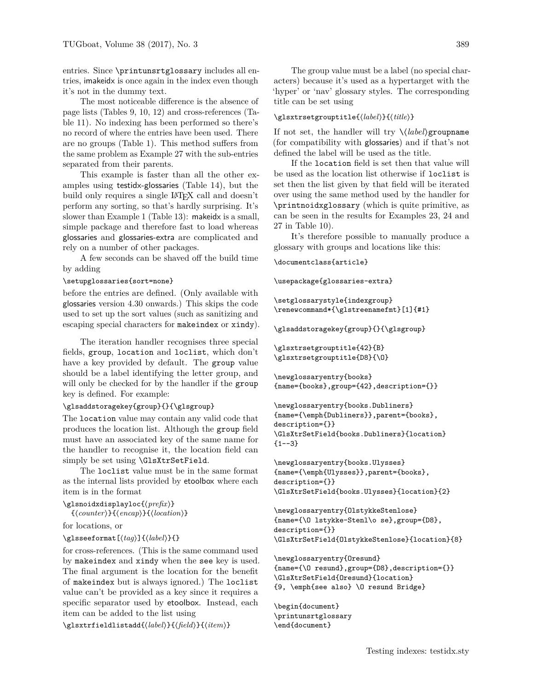entries. Since \printunsrtglossary includes all entries, imakeidx is once again in the index even though it's not in the dummy text.

The most noticeable difference is the absence of page lists (Tables [9,](#page-25-2) [10,](#page-25-3) [12\)](#page-25-5) and cross-references (Table [11\)](#page-25-4). No indexing has been performed so there's no record of where the entries have been used. There are no groups (Table [1\)](#page-23-0). This method suffers from the same problem as Example [27](#page-14-0) with the sub-entries separated from their parents.

This example is faster than all the other examples using testidx-glossaries (Table [14\)](#page-26-6), but the build only requires a single LAT<sub>EX</sub> call and doesn't perform any sorting, so that's hardly surprising. It's slower than Example [1](#page-5-0) (Table [13\)](#page-26-5): makeidx is a small, simple package and therefore fast to load whereas glossaries and glossaries-extra are complicated and rely on a number of other packages.

A few seconds can be shaved off the build time by adding

#### \setupglossaries{sort=none}

before the entries are defined. (Only available with glossaries version 4.30 onwards.) This skips the code used to set up the sort values (such as sanitizing and escaping special characters for makeindex or xindy).

The iteration handler recognises three special fields, group, location and loclist, which don't have a key provided by default. The group value should be a label identifying the letter group, and will only be checked for by the handler if the group key is defined. For example:

#### \glsaddstoragekey{group}{}{\glsgroup}

The location value may contain any valid code that produces the location list. Although the group field must have an associated key of the same name for the handler to recognise it, the location field can simply be set using \GlsXtrSetField.

The loclist value must be in the same format as the internal lists provided by etoolbox where each item is in the format

```
\glsnoidxdisplayloc{⟨prefix⟩}
```

```
{⟨counter⟩}{⟨encap⟩}{⟨location⟩}
```
for locations, or

```
\glsseeformat[⟨tag⟩]{⟨label⟩}{}
```
for cross-references. (This is the same command used by makeindex and xindy when the see key is used. The final argument is the location for the benefit of makeindex but is always ignored.) The loclist value can't be provided as a key since it requires a specific separator used by etoolbox. Instead, each item can be added to the list using

\glsxtrfieldlistadd{⟨*label*⟩}{⟨*field*⟩}{⟨*item*⟩}

The group value must be a label (no special characters) because it's used as a hypertarget with the 'hyper' or 'nav' glossary styles. The corresponding title can be set using

#### \glsxtrsetgrouptitle{⟨*label*⟩}{⟨*title*⟩}

If not set, the handler will try \⟨*label*⟩groupname (for compatibility with glossaries) and if that's not defined the label will be used as the title.

If the location field is set then that value will be used as the location list otherwise if loclist is set then the list given by that field will be iterated over using the same method used by the handler for \printnoidxglossary (which is quite primitive, as can be seen in the results for Examples [23,](#page-13-1) [24](#page-13-0) and [27](#page-14-0) in Table [10\)](#page-25-3).

It's therefore possible to manually produce a glossary with groups and locations like this:

\documentclass{article}

\usepackage{glossaries-extra}

```
\setglossarystyle{indexgroup}
\renewcommand*{\glstreenamefmt}[1]{#1}
```
\glsaddstoragekey{group}{}{\glsgroup}

\glsxtrsetgrouptitle{42}{B} \glsxtrsetgrouptitle{D8}{\O}

```
\newglossaryentry{books}
{name={books},group={42},description={}}
```

```
\newglossaryentry{books.Dubliners}
{name={\emph{Dubliners}},parent={books},
description={}}
\GlsXtrSetField{books.Dubliners}{location}
{1--3}
```

```
\newglossaryentry{books.Ulysses}
{name={\emph{Ulysses}},parent={books},
description={}}
\GlsXtrSetField{books.Ulysses}{location}{2}
```
\newglossaryentry{OlstykkeStenlose} {name={\O lstykke-Stenl\o se},group={D8}, description={}} \GlsXtrSetField{OlstykkeStenlose}{location}{8}

\newglossaryentry{Oresund} {name={\O resund},group={D8},description={}} \GlsXtrSetField{Oresund}{location} {9, \emph{see also} \O resund Bridge}

\begin{document} \printunsrtglossary \end{document}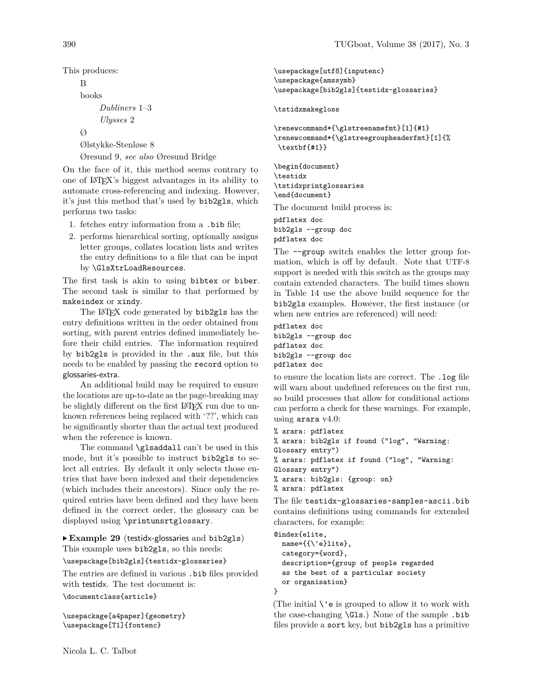This produces:

```
B
books
     Dubliners 1–3
     Ulysses 2
Ø
Ølstykke-Stenløse 8
```
Øresund 9, *see also* Øresund Bridge

On the face of it, this method seems contrary to one of LATEX's biggest advantages in its ability to automate cross-referencing and indexing. However, it's just this method that's used by bib2gls, which performs two tasks:

- 1. fetches entry information from a .bib file;
- 2. performs hierarchical sorting, optionally assigns letter groups, collates location lists and writes the entry definitions to a file that can be input by \GlsXtrLoadResources.

The first task is akin to using bibtex or biber. The second task is similar to that performed by makeindex or xindy.

The LAT<sub>E</sub>X code generated by bib2gls has the entry definitions written in the order obtained from sorting, with parent entries defined immediately before their child entries. The information required by bib2gls is provided in the .aux file, but this needs to be enabled by passing the record option to glossaries-extra.

An additional build may be required to ensure the locations are up-to-date as the page-breaking may be slightly different on the first LAT<sub>E</sub>X run due to unknown references being replaced with '??', which can be significantly shorter than the actual text produced when the reference is known.

The command \glsaddall can't be used in this mode, but it's possible to instruct bib2gls to select all entries. By default it only selects those entries that have been indexed and their dependencies (which includes their ancestors). Since only the required entries have been defined and they have been defined in the correct order, the glossary can be displayed using \printunsrtglossary.

<span id="page-17-0"></span>▶ **Example 29** (testidx-glossaries and bib2gls) This example uses bib2gls, so this needs:

\usepackage[bib2gls]{testidx-glossaries}

The entries are defined in various .bib files provided with testidx. The test document is:

\documentclass{article}

\usepackage[a4paper]{geometry} \usepackage[T1]{fontenc}

```
\usepackage[utf8]{inputenc}
\usepackage{amssymb}
\usepackage[bib2gls]{testidx-glossaries}
```
\tstidxmakegloss

```
\renewcommand*{\glstreenamefmt}[1]{#1}
\renewcommand*{\glstreegroupheaderfmt}[1]{%
\textbf{#1}}
```
\begin{document} \testidx \tstidxprintglossaries \end{document}

The document build process is:

pdflatex doc bib2gls --group doc pdflatex doc

The --group switch enables the letter group formation, which is off by default. Note that UTF-8 support is needed with this switch as the groups may contain extended characters. The build times shown in Table [14](#page-26-6) use the above build sequence for the bib2gls examples. However, the first instance (or when new entries are referenced) will need:

```
pdflatex doc
bib2gls --group doc
pdflatex doc
bib2gls --group doc
pdflatex doc
```
to ensure the location lists are correct. The .log file will warn about undefined references on the first run, so build processes that allow for conditional actions can perform a check for these warnings. For example, using arara v4.0:

```
% arara: pdflatex
% arara: bib2gls if found ("log", "Warning:
Glossary entry")
% arara: pdflatex if found ("log", "Warning:
Glossary entry")
% arara: bib2gls: {group: on}
% arara: pdflatex
```
The file testidx-glossaries-samples-ascii.bib contains definitions using commands for extended characters, for example:

```
@index{elite,
 name={{\'e}lite},
 category={word},
 description={group of people regarded
 as the best of a particular society
 or organisation}
```
}

(The initial  $\setminus$ 'e is grouped to allow it to work with the case-changing \Gls.) None of the sample .bib files provide a sort key, but bib2gls has a primitive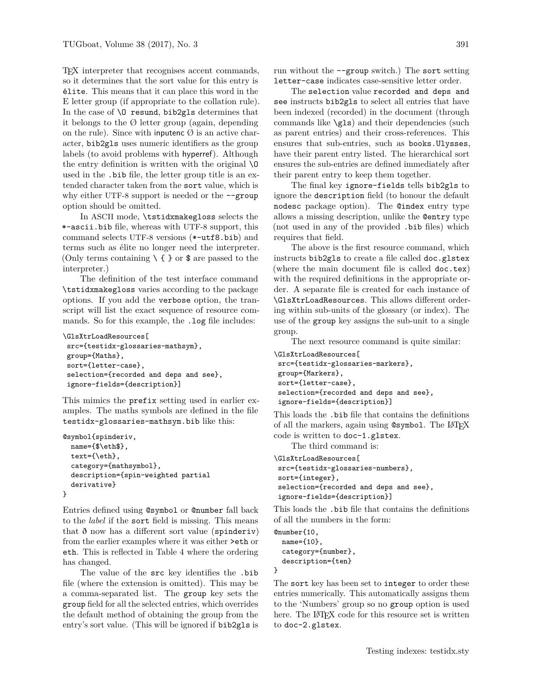TEX interpreter that recognises accent commands, so it determines that the sort value for this entry is élite. This means that it can place this word in the E letter group (if appropriate to the collation rule). In the case of  $\Omega$  resund, bib2gls determines that it belongs to the  $\emptyset$  letter group (again, depending on the rule). Since with inputenc  $\emptyset$  is an active character, bib2gls uses numeric identifiers as the group labels (to avoid problems with hyperref). Although the entry definition is written with the original \O used in the .bib file, the letter group title is an extended character taken from the sort value, which is why either UTF-8 support is needed or the  $-\text{group}$ option should be omitted.

In ASCII mode, \tstidxmakegloss selects the \*-ascii.bib file, whereas with UTF-8 support, this command selects UTF-8 versions (\*-utf8.bib) and terms such as élite no longer need the interpreter. (Only terms containing  $\setminus \{\}$  or  $\$  are passed to the interpreter.)

<span id="page-18-0"></span>The definition of the test interface command \tstidxmakegloss varies according to the package options. If you add the verbose option, the transcript will list the exact sequence of resource commands. So for this example, the .log file includes:

```
\GlsXtrLoadResources[
src={testidx-glossaries-mathsym},
group={Maths},
sort={letter-case},
selection={recorded and deps and see},
ignore-fields={description}]
```
This mimics the prefix setting used in earlier examples. The maths symbols are defined in the file testidx-glossaries-mathsym.bib like this:

```
@symbol{spinderiv,
 name={$\eth$},
  text={\eth},
  category={mathsymbol},
 description={spin-weighted partial
 derivative}
}
```
Entries defined using @symbol or @number fall back to the *label* if the sort field is missing. This means that  $\delta$  now has a different sort value (spinderiv) from the earlier examples where it was either >eth or eth. This is reflected in Table [4](#page-24-2) where the ordering has changed.

The value of the src key identifies the .bib file (where the extension is omitted). This may be a comma-separated list. The group key sets the group field for all the selected entries, which overrides the default method of obtaining the group from the entry's sort value. (This will be ignored if bib2gls is run without the  $-\text{group switch.}$ ) The sort setting letter-case indicates case-sensitive letter order.

The selection value recorded and deps and see instructs bib2gls to select all entries that have been indexed (recorded) in the document (through commands like \gls) and their dependencies (such as parent entries) and their cross-references. This ensures that sub-entries, such as books.Ulysses, have their parent entry listed. The hierarchical sort ensures the sub-entries are defined immediately after their parent entry to keep them together.

The final key ignore-fields tells bib2gls to ignore the description field (to honour the default nodesc package option). The @index entry type allows a missing description, unlike the @entry type (not used in any of the provided .bib files) which requires that field.

The above is the first resource command, which instructs bib2gls to create a file called doc.glstex (where the main document file is called doc.tex) with the required definitions in the appropriate order. A separate file is created for each instance of \GlsXtrLoadResources. This allows different ordering within sub-units of the glossary (or index). The use of the group key assigns the sub-unit to a single group.

The next resource command is quite similar:

```
\GlsXtrLoadResources[
src={testidx-glossaries-markers},
group={Markers},
sort={letter-case},
selection={recorded and deps and see},
ignore-fields={description}]
```
This loads the .bib file that contains the definitions of all the markers, again using  $@symbol$ . The LAT<sub>E</sub>X code is written to doc-1.glstex.

The third command is:

```
\GlsXtrLoadResources[
src={testidx-glossaries-numbers},
sort={integer},
selection={recorded and deps and see},
ignore-fields={description}]
```
This loads the .bib file that contains the definitions of all the numbers in the form:

```
@number{10,
 name={10},
 category={number},
 description={ten}
```
}

The sort key has been set to integer to order these entries numerically. This automatically assigns them to the 'Numbers' group so no group option is used here. The LAT<sub>EX</sub> code for this resource set is written to doc-2.glstex.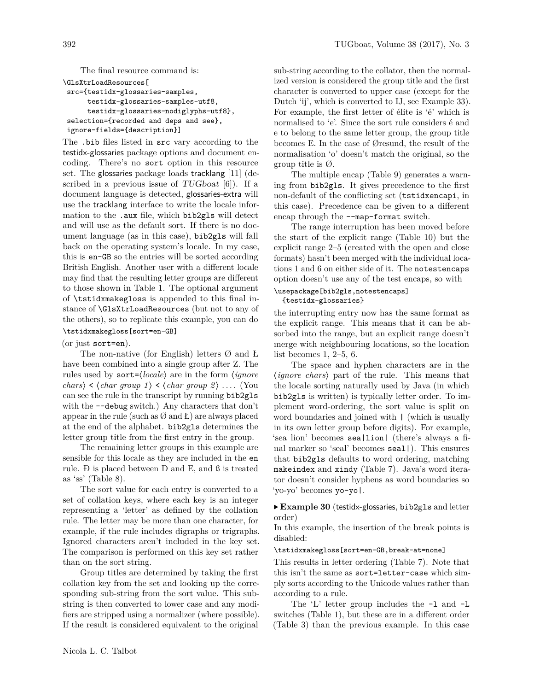The final resource command is:

\GlsXtrLoadResources[

```
src={testidx-glossaries-samples,
     testidx-glossaries-samples-utf8,
     testidx-glossaries-nodiglyphs-utf8},
selection={recorded and deps and see},
ignore-fields={description}]
```
The .bib files listed in src vary according to the testidx-glossaries package options and document encoding. There's no sort option in this resource set. The glossaries package loads tracklang [\[11\]](#page-26-11) (described in a previous issue of  $TUGboat$  [\[6\]](#page-26-12)). If a document language is detected, glossaries-extra will use the tracklang interface to write the locale information to the .aux file, which bib2gls will detect and will use as the default sort. If there is no document language (as in this case), bib2gls will fall back on the operating system's locale. In my case, this is en-GB so the entries will be sorted according British English. Another user with a different locale may find that the resulting letter groups are different to those shown in Table [1.](#page-23-0) The optional argument of \tstidxmakegloss is appended to this final instance of \GlsXtrLoadResources (but not to any of the others), so to replicate this example, you can do \tstidxmakegloss[sort=en-GB]

# (or just sort=en).

The non-native (for English) letters  $\varnothing$  and Ł have been combined into a single group after Z. The rules used by sort=⟨*locale*⟩ are in the form ⟨*ignore chars* $\rangle \leq \langle char \ group \ 1 \rangle \leq \langle char \ group \ 2 \rangle \dots$  (You can see the rule in the transcript by running bib2gls with the  $-\text{debug switch.}$ ) Any characters that don't appear in the rule (such as  $\emptyset$  and Ł) are always placed at the end of the alphabet. bib2gls determines the letter group title from the first entry in the group.

The remaining letter groups in this example are sensible for this locale as they are included in the en rule. Ð is placed between D and E, and ß is treated as 'ss' (Table [8\)](#page-25-1).

The sort value for each entry is converted to a set of collation keys, where each key is an integer representing a 'letter' as defined by the collation rule. The letter may be more than one character, for example, if the rule includes digraphs or trigraphs. Ignored characters aren't included in the key set. The comparison is performed on this key set rather than on the sort string.

Group titles are determined by taking the first collation key from the set and looking up the corresponding sub-string from the sort value. This substring is then converted to lower case and any modifiers are stripped using a normalizer (where possible). If the result is considered equivalent to the original

sub-string according to the collator, then the normalized version is considered the group title and the first character is converted to upper case (except for the Dutch 'ij', which is converted to IJ, see Example [33\)](#page-20-0). For example, the first letter of élite is 'é' which is normalised to 'e'. Since the sort rule considers é and e to belong to the same letter group, the group title becomes E. In the case of Øresund, the result of the normalisation 'o' doesn't match the original, so the group title is  $\emptyset$ .

The multiple encap (Table [9\)](#page-25-2) generates a warning from bib2gls. It gives precedence to the first non-default of the conflicting set (tstidxencapi, in this case). Precedence can be given to a different encap through the --map-format switch.

The range interruption has been moved before the start of the explicit range (Table [10\)](#page-25-3) but the explicit range 2–5 (created with the open and close formats) hasn't been merged with the individual locations 1 and 6 on either side of it. The notestencaps option doesn't use any of the test encaps, so with

### \usepackage[bib2gls,notestencaps] {testidx-glossaries}

the interrupting entry now has the same format as the explicit range. This means that it can be absorbed into the range, but an explicit range doesn't merge with neighbouring locations, so the location list becomes 1, 2–5, 6.

The space and hyphen characters are in the ⟨*ignore chars*⟩ part of the rule. This means that the locale sorting naturally used by Java (in which bib2gls is written) is typically letter order. To implement word-ordering, the sort value is split on word boundaries and joined with | (which is usually in its own letter group before digits). For example, 'sea lion' becomes sea|lion| (there's always a final marker so 'seal' becomes seal|). This ensures that bib2gls defaults to word ordering, matching makeindex and xindy (Table [7\)](#page-25-0). Java's word iterator doesn't consider hyphens as word boundaries so 'yo-yo' becomes yo-yo|.

# <span id="page-19-0"></span>▶ **Example 30** (testidx-glossaries, bib2gls and letter order)

In this example, the insertion of the break points is disabled:

### \tstidxmakegloss[sort=en-GB,break-at=none]

This results in letter ordering (Table [7\)](#page-25-0). Note that this isn't the same as sort=letter-case which simply sorts according to the Unicode values rather than according to a rule.

The 'L' letter group includes the -l and -L switches (Table [1\)](#page-23-0), but these are in a different order (Table [3\)](#page-24-1) than the previous example. In this case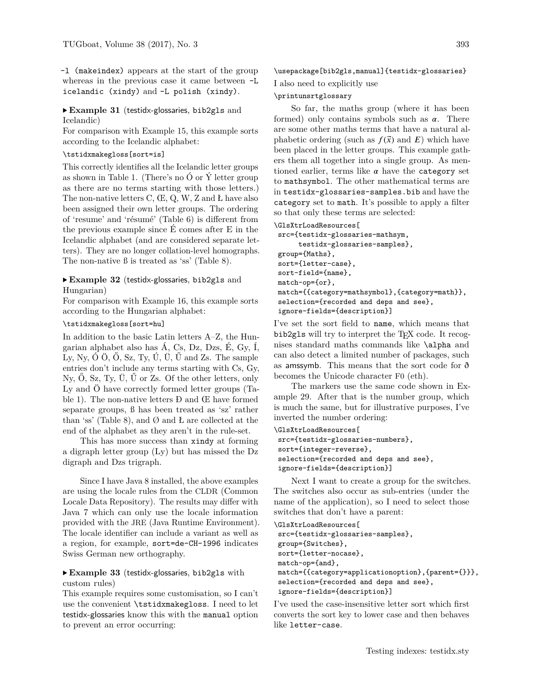-l (makeindex) appears at the start of the group whereas in the previous case it came between -L icelandic (xindy) and -L polish (xindy).

# <span id="page-20-1"></span>▶ **Example 31** (testidx-glossaries, bib2gls and Icelandic)

For comparison with Example [15,](#page-9-1) this example sorts according to the Icelandic alphabet:

### \tstidxmakegloss[sort=is]

This correctly identifies all the Icelandic letter groups as shown in Table [1.](#page-23-0) (There's no  $\acute{O}$  or  $\acute{Y}$  letter group as there are no terms starting with those letters.) The non-native letters C, Œ, Q, W, Z and Ł have also been assigned their own letter groups. The ordering of 'resume' and 'résumé' (Table [6\)](#page-24-4) is different from the previous example since É comes after E in the Icelandic alphabet (and are considered separate letters). They are no longer collation-level homographs. The non-native  $\beta$  is treated as 'ss' (Table [8\)](#page-25-1).

### <span id="page-20-2"></span>▶ **Example 32** (testidx-glossaries, bib2gls and Hungarian)

For comparison with Example [16,](#page-9-2) this example sorts according to the Hungarian alphabet:

### \tstidxmakegloss[sort=hu]

In addition to the basic Latin letters A–Z, the Hungarian alphabet also has  $\acute{A}$ , Cs, Dz, Dzs, É, Gy, Í, Ly, Ny, Ó Ö, Ő, Sz, Ty, Ú, Ü, Ű and Zs. The sample entries don't include any terms starting with Cs, Gy, Ny,  $\bullet$ , Sz, Ty,  $\bullet$ ,  $\bullet$   $\bullet$  To  $\bullet$  Zs. Of the other letters, only Ly and Ö have correctly formed letter groups (Table [1\)](#page-23-0). The non-native letters Ð and Œ have formed separate groups, ß has been treated as 'sz' rather than 'ss' (Table [8\)](#page-25-1), and  $\varnothing$  and  $E$  are collected at the end of the alphabet as they aren't in the rule-set.

This has more success than xindy at forming a digraph letter group (Ly) but has missed the Dz digraph and Dzs trigraph.

Since I have Java 8 installed, the above examples are using the locale rules from the CLDR (Common Locale Data Repository). The results may differ with Java 7 which can only use the locale information provided with the JRE (Java Runtime Environment). The locale identifier can include a variant as well as a region, for example, sort=de-CH-1996 indicates Swiss German new orthography.

# <span id="page-20-0"></span>▶ **Example 33** (testidx-glossaries, bib2gls with custom rules)

This example requires some customisation, so I can't use the convenient \tstidxmakegloss. I need to let testidx-glossaries know this with the manual option to prevent an error occurring:

\usepackage[bib2gls,manual]{testidx-glossaries}

I also need to explicitly use

# \printunsrtglossary

So far, the maths group (where it has been formed) only contains symbols such as  $\alpha$ . There are some other maths terms that have a natural alphabetic ordering (such as  $f(\vec{x})$  and  $E$ ) which have been placed in the letter groups. This example gathers them all together into a single group. As mentioned earlier, terms like  $\alpha$  have the category set to mathsymbol. The other mathematical terms are in testidx-glossaries-samples.bib and have the category set to math. It's possible to apply a filter so that only these terms are selected:

### \GlsXtrLoadResources[

```
src={testidx-glossaries-mathsym,
     testidx-glossaries-samples},
group={Maths},
sort={letter-case},
sort-field={name},
match-op={or},
match={{category=mathsymbol},{category=math}},
selection={recorded and deps and see},
ignore-fields={description}]
```
I've set the sort field to name, which means that bib2gls will try to interpret the T<sub>E</sub>X code. It recognises standard maths commands like \alpha and can also detect a limited number of packages, such as amssymb. This means that the sort code for ð becomes the Unicode character F0 (eth).

The markers use the same code shown in Example [29.](#page-17-0) After that is the number group, which is much the same, but for illustrative purposes, I've inverted the number ordering:

#### \GlsXtrLoadResources[

```
src={testidx-glossaries-numbers},
sort={integer-reverse},
selection={recorded and deps and see},
ignore-fields={description}]
```
Next I want to create a group for the switches. The switches also occur as sub-entries (under the name of the application), so I need to select those switches that don't have a parent:

#### \GlsXtrLoadResources[ src={testidx-glossaries-samples},

```
group={Switches},
sort={letter-nocase},
```

```
match-op={and},
```

```
match={{category=applicationoption},{parent={}}},
selection={recorded and deps and see},
ignore-fields={description}]
```
I've used the case-insensitive letter sort which first converts the sort key to lower case and then behaves like letter-case.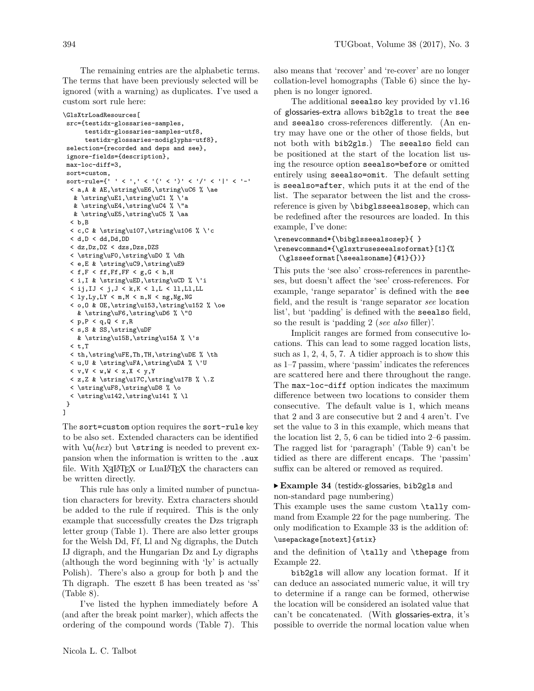The remaining entries are the alphabetic terms. The terms that have been previously selected will be ignored (with a warning) as duplicates. I've used a custom sort rule here:

```
\GlsXtrLoadResources[
 src={testidx-glossaries-samples,
      testidx-glossaries-samples-utf8,
      testidx-glossaries-nodiglyphs-utf8},
 selection={recorded and deps and see},
 ignore-fields={description},
 max-loc-diff=3,
 sort=custom,
 sort-rule={' ' < ',' < '(' < ')' < '/' < '|' < '-'
  < a,A & AE,\string\uE6,\string\uC6 % \ae
   & \string\uE1,\string\uC1 % \'a
   & \string\uE4,\string\uC4 % \"a
   & \string\uE5,\string\uC5 % \aa
  < b,B
  < c,C & \string\u107,\string\u106 % \'c
  < d, D < dd, Dd, DD< dz,Dz,DZ < dzs,Dzs,DZS
  < \string\uF0,\string\uD0 % \dh
  < e,E & \string\uC9,\string\uE9
  \leq f, F \leq ff, F F \leq g, G \leq h, H< i,I & \string\uED,\string\uCD % \'i
  \langle i,j,IJ \rangle \langle j,J \rangle \langle k,K \rangle \langle 1,L \rangle \langle 11,LL,LL \rangle\langle 1y, Ly, LY < m, M < n, N < ng, Ng, NG \rangle< o,O & OE,\string\u153,\string\u152 % \oe
    & \string\uF6,\string\uD6 % \"O
  \times p, P \times q, Q \times r, R
  < s,S & SS,\string\uDF
    & \string\u15B,\string\u15A % \'s
  < t, T< th,\string\uFE,Th,TH,\string\uDE % \th
  < u,U & \string\uFA,\string\uDA % \'U
  < v, V < w, W < x, X < y, Y\langle z, Z \& \string\u17C, \string\u17B \% \.Z< \string\uF8,\string\uD8 % \o
  < \string\u142,\string\u141 % \l
 }
]
```
The sort=custom option requires the sort-rule key to be also set. Extended characters can be identified with  $\u$ *(hex)* but **\string** is needed to prevent expansion when the information is written to the .aux file. With  $X \rightarrow Y$  or Lual<sup>4</sup>T<sub>E</sub>X the characters can be written directly.

This rule has only a limited number of punctuation characters for brevity. Extra characters should be added to the rule if required. This is the only example that successfully creates the Dzs trigraph letter group (Table [1\)](#page-23-0). There are also letter groups for the Welsh Dd, Ff, Ll and Ng digraphs, the Dutch IJ digraph, and the Hungarian Dz and Ly digraphs (although the word beginning with 'ly' is actually Polish). There's also a group for both þ and the Th digraph. The eszett ß has been treated as 'ss' (Table [8\)](#page-25-1).

I've listed the hyphen immediately before A (and after the break point marker), which affects the ordering of the compound words (Table [7\)](#page-25-0). This

also means that 'recover' and 're-cover' are no longer collation-level homographs (Table [6\)](#page-24-4) since the hyphen is no longer ignored.

The additional seealso key provided by v1.16 of glossaries-extra allows bib2gls to treat the see and seealso cross-references differently. (An entry may have one or the other of those fields, but not both with bib2gls.) The seealso field can be positioned at the start of the location list using the resource option seealso=before or omitted entirely using seealso=omit. The default setting is seealso=after, which puts it at the end of the list. The separator between the list and the crossreference is given by \bibglsseealsosep, which can be redefined after the resources are loaded. In this example, I've done:

# \renewcommand\*{\bibglsseealsosep}{ } \renewcommand\*{\glsxtruseseealsoformat}[1]{% (\glsseeformat[\seealsoname]{#1}{})}

This puts the 'see also' cross-references in parentheses, but doesn't affect the 'see' cross-references. For example, 'range separator' is defined with the see field, and the result is 'range separator *see* location list', but 'padding' is defined with the seealso field, so the result is 'padding 2 (*see also* filler)'.

Implicit ranges are formed from consecutive locations. This can lead to some ragged location lists, such as 1, 2, 4, 5, 7. A tidier approach is to show this as 1–7 passim, where 'passim' indicates the references are scattered here and there throughout the range. The max-loc-diff option indicates the maximum difference between two locations to consider them consecutive. The default value is 1, which means that 2 and 3 are consecutive but 2 and 4 aren't. I've set the value to 3 in this example, which means that the location list 2, 5, 6 can be tidied into 2–6 passim. The ragged list for 'paragraph' (Table [9\)](#page-25-2) can't be tidied as there are different encaps. The 'passim' suffix can be altered or removed as required.

# <span id="page-21-0"></span>▶ **Example 34** (testidx-glossaries, bib2gls and non-standard page numbering)

This example uses the same custom \tally command from Example [22](#page-13-2) for the page numbering. The only modification to Example [33](#page-20-0) is the addition of:

# \usepackage[notext]{stix}

and the definition of \tally and \thepage from Example [22.](#page-13-2)

bib2gls will allow any location format. If it can deduce an associated numeric value, it will try to determine if a range can be formed, otherwise the location will be considered an isolated value that can't be concatenated. (With glossaries-extra, it's possible to override the normal location value when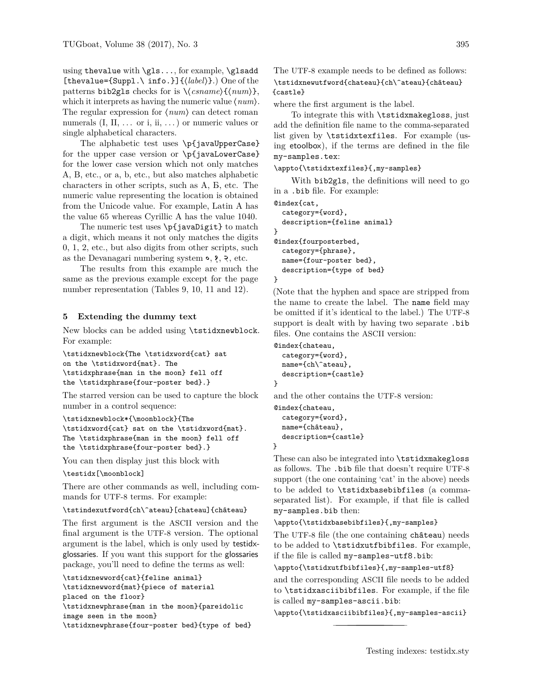using thevalue with \gls..., for example, \glsadd [thevalue={Suppl.\ info.}]{⟨*label*⟩}.) One of the patterns bib2gls checks for is \⟨*csname*⟩{⟨*num*⟩}, which it interprets as having the numeric value ⟨*num*⟩. The regular expression for ⟨*num*⟩ can detect roman numerals  $(I, II, \ldots \text{ or } i, ii, \ldots)$  or numeric values or single alphabetical characters.

The alphabetic test uses \p{javaUpperCase} for the upper case version or \p{javaLowerCase} for the lower case version which not only matches A, B, etc., or a, b, etc., but also matches alphabetic characters in other scripts, such as А, Б, etc. The numeric value representing the location is obtained from the Unicode value. For example, Latin A has the value 65 whereas Cyrillic А has the value 1040.

The numeric test uses \p{javaDigit} to match a digit, which means it not only matches the digits 0, 1, 2, etc., but also digits from other scripts, such as the Devanagari numbering system ०, १, २ , etc.

The results from this example are much the same as the previous example except for the page number representation (Tables [9,](#page-25-2) [10,](#page-25-3) [11](#page-25-4) and [12\)](#page-25-5).

### <span id="page-22-0"></span>**5 Extending the dummy text**

New blocks can be added using \tstidxnewblock. For example:

\tstidxnewblock{The \tstidxword{cat} sat on the \tstidxword{mat}. The \tstidxphrase{man in the moon} fell off the \tstidxphrase{four-poster bed}.}

The starred version can be used to capture the block number in a control sequence:

\tstidxnewblock\*{\moonblock}{The \tstidxword{cat} sat on the \tstidxword{mat}. The \tstidxphrase{man in the moon} fell off the \tstidxphrase{four-poster bed}.}

You can then display just this block with

\testidx[\moonblock]

There are other commands as well, including commands for UTF-8 terms. For example:

\tstindexutfword{ch\^ateau}[chateau]{château}

The first argument is the ASCII version and the final argument is the UTF-8 version. The optional argument is the label, which is only used by testidxglossaries. If you want this support for the glossaries package, you'll need to define the terms as well:

\tstidxnewword{cat}{feline animal} \tstidxnewword{mat}{piece of material placed on the floor} \tstidxnewphrase{man in the moon}{pareidolic image seen in the moon} \tstidxnewphrase{four-poster bed}{type of bed} The UTF-8 example needs to be defined as follows: \tstidxnewutfword{chateau}{ch\^ateau}{château} {castle}

where the first argument is the label.

To integrate this with \tstidxmakegloss, just add the definition file name to the comma-separated list given by \tstidxtexfiles. For example (using etoolbox), if the terms are defined in the file my-samples.tex:

\appto{\tstidxtexfiles}{,my-samples}

With bib2gls, the definitions will need to go in a .bib file. For example:

```
@index{cat,
  category={word},
  description={feline animal}
}
@index{fourposterbed,
  category={phrase},
  name={four-poster bed},
  description={type of bed}
}
```
(Note that the hyphen and space are stripped from the name to create the label. The name field may be omitted if it's identical to the label.) The UTF-8 support is dealt with by having two separate .bib files. One contains the ASCII version:

```
@index{chateau,
  category={word},
  name={ch\^ateau},
  description={castle}
}
```
and the other contains the UTF-8 version:

```
@index{chateau,
  category={word},
 name={château},
 description={castle}
```
}

These can also be integrated into \tstidxmakegloss as follows. The .bib file that doesn't require UTF-8 support (the one containing 'cat' in the above) needs to be added to \tstidxbasebibfiles (a commaseparated list). For example, if that file is called my-samples.bib then:

\appto{\tstidxbasebibfiles}{,my-samples}

The UTF-8 file (the one containing château) needs to be added to \tstidxutfbibfiles. For example, if the file is called my-samples-utf8.bib:

\appto{\tstidxutfbibfiles}{,my-samples-utf8}

and the corresponding ASCII file needs to be added to \tstidxasciibibfiles. For example, if the file is called my-samples-ascii.bib:

\appto{\tstidxasciibibfiles}{,my-samples-ascii}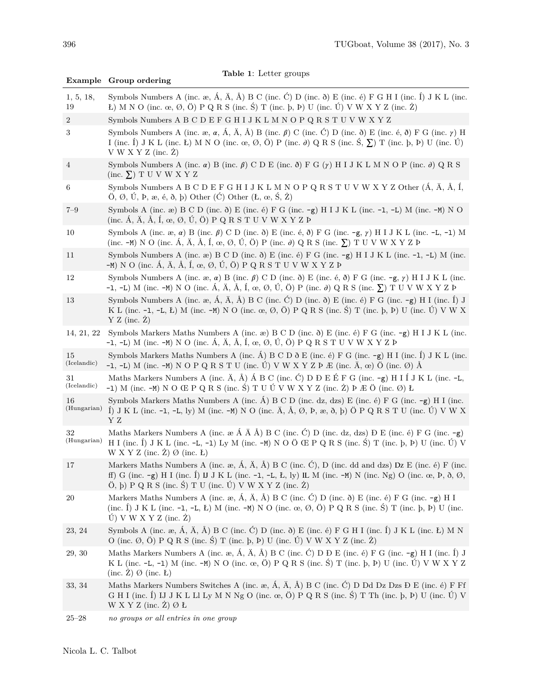<span id="page-23-0"></span>

|                   | raple r. netter groups<br>Example Group ordering                                                                                                                                                                                                                                                                                                                                    |
|-------------------|-------------------------------------------------------------------------------------------------------------------------------------------------------------------------------------------------------------------------------------------------------------------------------------------------------------------------------------------------------------------------------------|
| 1, 5, 18,<br>19   | Symbols Numbers A (inc. æ, Á, Ä, Å) B C (inc. Ć) D (inc. $\delta$ ) E (inc. é) F G H I (inc. Í) J K L (inc.<br>L) M N O (inc. œ, Ø, Ö) P Q R S (inc. Ś) T (inc. b, Þ) U (inc. Ú) V W X Y Z (inc. Ż)                                                                                                                                                                                 |
| $\overline{2}$    | Symbols Numbers A B C D E F G H I J K L M N O P Q R S T U V W X Y Z                                                                                                                                                                                                                                                                                                                 |
| 3                 | Symbols Numbers A (inc. $\alpha$ , $\alpha$ , $\hat{A}$ , $\hat{A}$ , $\hat{A}$ ) B (inc. $\beta$ ) C (inc. $\hat{C}$ ) D (inc. $\delta$ ) E (inc. $\epsilon$ , $\delta$ ) F G (inc. $\gamma$ ) H<br>I (inc. I) J K L (inc. L) M N O (inc. $\infty$ , Ø, Ö) P (inc. $\partial$ ) Q R S (inc. S, $\Sigma$ ) T (inc. b, P) U (inc. U)<br>V W X Y Z (inc. Z)                           |
| $\overline{4}$    | Symbols Numbers A (inc. $\alpha$ ) B (inc. $\beta$ ) C D E (inc. $\delta$ ) F G ( $\gamma$ ) H I J K L M N O P (inc. $\partial$ ) Q R S<br>$(inc. \Sigma) T U V W X Y Z$                                                                                                                                                                                                            |
| 6                 | Symbols Numbers A B C D E F G H I J K L M N O P Q R S T U V W X Y Z Other $(\hat{A}, \ddot{A}, \dot{A}, \acute{A}, \acute{I},$<br>$\ddot{O}, \varnothing, \dot{U}, P, \omega, \dot{\epsilon}, \delta, \dot{p}$ Other $(\dot{C})$ Other $(E, \omega, \dot{S}, \dot{Z})$                                                                                                              |
| $7 - 9$           | Symbols A (inc. æ) B C D (inc. $\delta$ ) E (inc. é) F G (inc. -g) H I J K L (inc. -1, -L) M (inc. -M) N O<br>(inc. Á, Ä, Å, Í, œ, Ø, Ú, Ö) P Q R S T U V W X Y Z Þ                                                                                                                                                                                                                 |
| 10                | Symbols A (inc. æ, $\alpha$ ) B (inc. $\beta$ ) C D (inc. $\delta$ ) E (inc. é, $\delta$ ) F G (inc. -g, $\gamma$ ) H I J K L (inc. -L, -1) M<br>(inc. $-M$ ) N O (inc. $\hat{A}$ , $\hat{A}$ , $\hat{A}$ , $\hat{I}$ , $\infty$ , $\emptyset$ , $\hat{U}$ , $\hat{O}$ ) P (inc. $\partial$ ) Q R S (inc. $\Sigma$ ) T U V W X Y Z P                                                |
| 11                | Symbols Numbers A (inc. $\alpha$ ) B C D (inc. $\delta$ ) E (inc. $\epsilon$ ) F G (inc. $-g$ ) H I J K L (inc. $-1$ , $-L$ ) M (inc.<br>$-M)$ N O (inc. Á, Ä, Å, Í, œ, Ø, Ú, Ö) P Q R S T U V W X Y Z Þ                                                                                                                                                                            |
| 12                | Symbols Numbers A (inc. $\alpha$ , $\alpha$ ) B (inc. $\beta$ ) C D (inc. $\delta$ ) E (inc. $\epsilon$ , $\delta$ ) F G (inc. $-g$ , $\gamma$ ) H I J K L (inc.<br>-1, -L) M (inc. -M) N O (inc. Á, Ä, Å, Í, œ, Ø, Ú, Ö) P (inc. $\partial$ ) Q R S (inc. $\Sigma$ ) T U V W X Y Z Þ                                                                                               |
| 13                | Symbols Numbers A (inc. æ, Á, Ä, Å) B C (inc. Ć) D (inc. ð) E (inc. é) F G (inc. -g) H I (inc. Í) J<br>K L (inc. -1, -L, L) M (inc. -M) N O (inc. œ, Ø, Ö) P Q R S (inc. Ś) T (inc. þ, Þ) U (inc. Ú) V W X<br>$Y Z$ (inc. $\dot{Z}$ )                                                                                                                                               |
| 14, 21, 22        | Symbols Markers Maths Numbers A (inc. $\infty$ ) B C D (inc. $\delta$ ) E (inc. $\epsilon$ ) F G (inc. $-g$ ) H I J K L (inc.<br>-1, -L) M (inc. -M) N O (inc. Á, Ä, Å, Í, œ, Ø, Ú, Ö) P Q R S T U V W X Y Z Þ                                                                                                                                                                      |
| 15<br>(Icelandic) | Symbols Markers Maths Numbers A (inc. $\hat{A}$ ) B C D $\delta$ E (inc. é) F G (inc. -g) H I (inc. 1) J K L (inc.<br>-1, -L) M (inc. -M) N O P Q R S T U (inc. Ú) V W X Y Z P $E$ (inc. Ä, œ) Ö (inc. Ø) Å                                                                                                                                                                         |
| 31<br>(Icelandic) | Maths Markers Numbers A (inc. $\ddot{A}$ , $\dot{A}$ ) $\acute{A}$ B C (inc. $\acute{C}$ ) D D E É F G (inc. -g) H I Í J K L (inc. -L,<br>-1) M (inc. -M) N O Œ P Q R S (inc. Ś) T U Ú V W X Y Z (inc. Ż) Þ Æ Ö (inc. Ø) Ł                                                                                                                                                          |
| 16<br>(Hungarian) | Symbols Markers Maths Numbers A (inc. $\acute{A}$ ) B C D (inc. dz, dzs) E (inc. é) F G (inc. -g) H I (inc.<br>Î) J K L (inc. -1, -L, ly) M (inc. -M) N O (inc. Ä, Å, Ø, Þ, æ, ð, þ) Ö P Q R S T U (inc. Ú) V W X<br>ΥZ                                                                                                                                                             |
| 32<br>(Hungarian) | Maths Markers Numbers A (inc. $\alpha$ $\hat{A}$ $\hat{A}$ $\hat{A}$ ) B C (inc. $\hat{C}$ ) D (inc. dz, dzs) D E (inc. é) F G (inc. -g)<br>H I (inc. $\hat{I}$ ) J K L (inc. -L, -1) Ly M (inc. -M) N O Ö Œ P Q R S (inc. $\hat{S}$ ) T (inc. $\hat{I}$ ) D (inc. $\hat{U}$ ) V<br>W X Y Z (inc. $\dot{Z}$ ) $\emptyset$ (inc. <i>L</i> )                                          |
| 17                | Markers Maths Numbers A (inc. æ, Á, Ä, Å) B C (inc. Ć), D (inc. dd and dzs) Dz E (inc. é) F (inc.<br>ff) G (inc. $-g$ ) H I (inc. 1) IJ K L (inc. $-1$ , $-L$ , $L$ , ly) IL M (inc. $-M$ ) N (inc. Ng) O (inc. $\alpha$ , $D$ , $\delta$ , $\emptyset$ ,<br>$(0, b)$ P Q R S (inc. S) T U (inc. U V W X Y Z (inc. Z)                                                               |
| 20                | Markers Maths Numbers A (inc. $\infty$ , $\hat{A}$ , $\hat{A}$ , $\hat{A}$ ) B C (inc. $\hat{C}$ ) D (inc. $\hat{O}$ ) E (inc. $\hat{e}$ ) F G (inc. $-g$ ) H I<br>(inc. $\hat{I}$ ) J K L (inc. -1, -1, E) M (inc. -M) N O (inc. $\infty$ , $\emptyset$ , $\hat{O}$ ) P Q R S (inc. $\hat{S}$ ) T (inc. $\hat{P}$ , $\hat{P}$ ) U (inc.<br>$\dot{U}$ ) V W X Y Z (inc. $\dot{Z}$ ) |
| 23, 24            | Symbols A (inc. æ, Á, Ä, Å) B C (inc. Ć) D (inc. ð) E (inc. é) F G H I (inc. Í) J K L (inc. Ł) M N<br>O (inc. $\varnothing$ , Ö) P Q R S (inc. Ś) T (inc. b, b) U (inc. Ú) V W X Y Z (inc. Ż)                                                                                                                                                                                       |
| 29, 30            | Maths Markers Numbers A (inc. æ, Á, Ä, Å) B C (inc. Ć) D D E (inc. é) F G (inc. $-\mathsf{g}$ ) H I (inc. Í) J<br>K L (inc. -L, -1) M (inc. -M) N O (inc. œ, Ö) P Q R S (inc. Ś) T (inc. b, Þ) U (inc. Ú) V W X Y Z<br>$(inc. Z)$ $\varnothing$ $(inc. E)$                                                                                                                          |
| 33, 34            | Maths Markers Numbers Switches A (inc. æ, Á, Ä, Å) B C (inc. Ć) D Dd Dz Dzs Đ E (inc. é) F Ff<br>G H I (inc. Í) IJ J K L Ll Ly M N Ng O (inc. œ, Ö) P Q R S (inc. Ś) T Th (inc. b, Þ) U (inc. Ú) V<br>W X Y Z (inc. Z) Ø E                                                                                                                                                          |

**Table 1**: Letter groups

[<sup>25–</sup>](#page-14-1)[28](#page-15-0) *no groups or all entries in one group*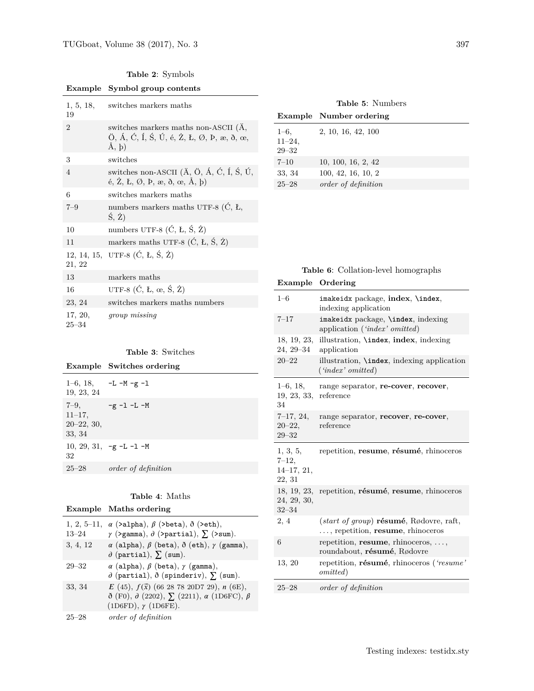**Table 2**: Symbols

<span id="page-24-0"></span>

|  |                  | Example Symbol group contents                                                                                                                                                                                                                                     |
|--|------------------|-------------------------------------------------------------------------------------------------------------------------------------------------------------------------------------------------------------------------------------------------------------------|
|  | 1, 5, 18,<br>19  | switches markers maths                                                                                                                                                                                                                                            |
|  | $\overline{2}$   | switches markers maths non-ASCII (A,<br>$\ddot{O}$ , Á, Ć, Í, Ś, Ú, é, Ż, Ł, Ø, Þ, æ, ð, œ,<br>Å, b)                                                                                                                                                              |
|  | 3                | switches                                                                                                                                                                                                                                                          |
|  | $\overline{4}$   | switches non-ASCII ( $\ddot{A}$ , $\ddot{O}$ , $\acute{A}$ , $\acute{C}$ , $\acute{I}$ , $\acute{S}$ , $\acute{U}$ ,<br>$\acute{e}$ , $\acute{Z}$ , $\acute{L}$ , $\cancel{O}$ , $\acute{P}$ , $\acute{e}$ , $\delta$ , $\acute{e}$ , $\acute{A}$ , $\acute{D}$ ) |
|  | 6                | switches markers maths                                                                                                                                                                                                                                            |
|  | $7 - 9$          | numbers markers maths UTF-8 $(\hat{C}, E,$<br>$(\dot{S}, \dot{Z})$                                                                                                                                                                                                |
|  | 10               | numbers UTF-8 $(\acute{C}, \acute{L}, \acute{S}, \acute{Z})$                                                                                                                                                                                                      |
|  | 11               | markers maths UTF-8 $(\acute{C}, \acute{L}, \acute{S}, \acute{Z})$                                                                                                                                                                                                |
|  | 21, 22           | 12, 14, 15, UTF-8 $(\dot{C}, E, \dot{S}, \dot{Z})$                                                                                                                                                                                                                |
|  | 13               | markers maths                                                                                                                                                                                                                                                     |
|  | 16               | UTF-8 $(\acute{C}, L, \alpha, \acute{S}, \acute{Z})$                                                                                                                                                                                                              |
|  | 23, 24           | switches markers maths numbers                                                                                                                                                                                                                                    |
|  | 17, 20,<br>25–34 | group missing                                                                                                                                                                                                                                                     |

|  | <b>Table 3: Switches</b> |
|--|--------------------------|
|  |                          |

<span id="page-24-1"></span>

| Example Switches ordering |  |  |  |  |
|---------------------------|--|--|--|--|
|---------------------------|--|--|--|--|

| 19, 23, 24                                         | $1-6$ , 18, $-L-M-g-1$     |
|----------------------------------------------------|----------------------------|
| $7 - 9$ ,<br>$11 - 17$ ,<br>$20-22, 30,$<br>33, 34 | -g -1 -L -M                |
| 32                                                 | 10, 29, 31, $-g$ -L -1 -M  |
| $25 - 28$                                          | <i>order of definition</i> |

# **Table 4**: Maths

<span id="page-24-2"></span>

| Example Maths ordering |  |
|------------------------|--|
|                        |  |

| $1, 2, 5-11,$<br>$13 - 24$ | $\alpha$ (>alpha), $\beta$ (>beta), $\delta$ (>eth),<br>$\gamma$ (>gamma), $\partial$ (>partial), $\sum$ (>sum).                                               |
|----------------------------|----------------------------------------------------------------------------------------------------------------------------------------------------------------|
| 3, 4, 12                   | $\alpha$ (alpha), $\beta$ (beta), $\delta$ (eth), $\gamma$ (gamma),<br>$\partial$ (partial), $\sum$ (sum).                                                     |
| $29 - 32$                  | $\alpha$ (alpha), $\beta$ (beta), $\gamma$ (gamma),<br>$\partial$ (partial), $\delta$ (spinderiv), $\sum$ (sum).                                               |
| 33, 34                     | $E(45)$ , $f(\vec{x})$ (66 28 78 20D7 29), n (6E),<br>$\delta$ (F0), $\partial$ (2202), $\sum$ (2211), $\alpha$ (1D6FC), $\beta$<br>$(1D6FD), \gamma (1D6FE).$ |
| $25 - 28$                  | order of definition                                                                                                                                            |

**Table 5**: Numbers

<span id="page-24-3"></span>

|                          | <b>Example</b> Number ordering |
|--------------------------|--------------------------------|
| $1 - 6$ ,                | 2, 10, 16, 42, 100             |
| $11 - 24$ ,<br>$29 - 32$ |                                |
| $7 - 10$                 | 10, 100, 16, 2, 42             |
| 33, 34                   | 100, 42, 16, 10, 2             |
| $25 - 28$                | <i>order of definition</i>     |

<span id="page-24-4"></span>

| Example                                          | Ordering                                                                                   |
|--------------------------------------------------|--------------------------------------------------------------------------------------------|
| $1 - 6$                                          | imakeidx package, index, \index,<br>indexing application                                   |
| $7 - 17$                                         | imakeidx package, \index, indexing<br>application ('index' omitted)                        |
| 18, 19, 23,<br>$24, 29 - 34$                     | illustration, <b>\index</b> , index, indexing<br>application                               |
| $20 - 22$                                        | illustration, <b>\index</b> , indexing application<br>('index' omitted)                    |
| $1-6, 18,$<br>19, 23, 33,<br>34                  | range separator, re-cover, recover,<br>reference                                           |
| $7-17, 24,$<br>$20 - 22,$<br>$29 - 32$           | range separator, recover, re-cover,<br>reference                                           |
| 1, 3, 5,<br>$7 - 12$ ,<br>$14-17, 21,$<br>22, 31 | repetition, resume, résumé, rhinoceros                                                     |
| 18, 19, 23,<br>24, 29, 30,<br>$32 - 34$          | repetition, résumé, resume, rhinoceros                                                     |
| 2, 4                                             | $(start \ of \ group)$ résumé, Rødovre, raft,<br>$\ldots$ , repetition, resume, rhinoceros |
| 6                                                | repetition, resume, rhinoceros, $\dots$ ,<br>roundabout, résumé, Rødovre                   |
| 13, 20                                           | repetition, résumé, rhinoceros ('resume'<br>omitted)                                       |
| $25 - 28$                                        | order of definition                                                                        |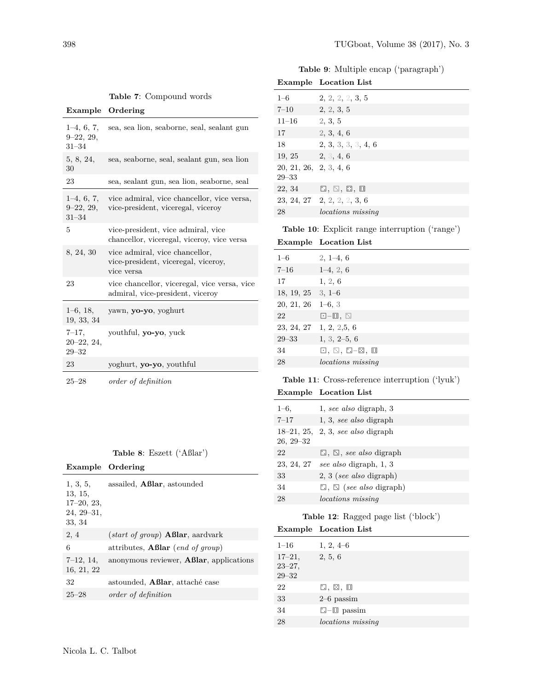|  |  |  | Table 9: Multiple encap ('paragraph') |
|--|--|--|---------------------------------------|
|--|--|--|---------------------------------------|

|  | Table 7: Compound words |  |
|--|-------------------------|--|
|--|-------------------------|--|

<span id="page-25-0"></span>

| Example Ordering |  |
|------------------|--|
|------------------|--|

| $1-4, 6, 7,$<br>$9-22, 29,$<br>$31 - 34$  | sea, sea lion, seaborne, seal, sealant gun                                          |
|-------------------------------------------|-------------------------------------------------------------------------------------|
| 5, 8, 24,<br>30                           | sea, seaborne, seal, sealant gun, sea lion                                          |
| 23                                        | sea, sealant gun, sea lion, seaborne, seal                                          |
| $1-4, 6, 7,$<br>$9-22, 29,$<br>$31 - 34$  | vice admiral, vice chancellor, vice versa,<br>vice-president, viceregal, viceroy    |
| 5                                         | vice-president, vice admiral, vice<br>chancellor, viceregal, viceroy, vice versa    |
| 8, 24, 30                                 | vice admiral, vice chancellor,<br>vice-president, viceregal, viceroy,<br>vice versa |
| 23                                        | vice chancellor, viceregal, vice versa, vice<br>admiral, vice-president, viceroy    |
| $1-6, 18,$<br>19, 33, 34                  | yawn, yo-yo, yoghurt                                                                |
| $7 - 17$ ,<br>$20 - 22, 24,$<br>$29 - 32$ | youthful, <b>yo-yo</b> , yuck                                                       |
| 23                                        | yoghurt, yo-yo, youthful                                                            |
| $25 - 28$                                 | order of definition                                                                 |

# **Table 8**: Eszett ('Aßlar')

<span id="page-25-1"></span>

| Example Ordering                                              |                                                  |
|---------------------------------------------------------------|--------------------------------------------------|
| 1, 3, 5,<br>13, 15,<br>$17-20, 23,$<br>$24, 29-31,$<br>33, 34 | assailed, <b>Aßlar</b> , astounded               |
| 2, 4                                                          | $(start\ of\ group)$ <b>Aßlar</b> , aardvark     |
| 6                                                             | attributes, <b>Aßlar</b> ( <i>end of group</i> ) |
| $7-12, 14,$<br>16, 21, 22                                     | anonymous reviewer, <b>Aßlar</b> , applications  |
| 32                                                            | astounded, <b>Aßlar</b> , attaché case           |
| $25 - 28$                                                     | <i>order of definition</i>                       |

<span id="page-25-2"></span>

|                                     | <b>Example</b> Location List  |
|-------------------------------------|-------------------------------|
| $1 - 6$                             | 2, 2, 2, 2, 3, 5              |
| $7 - 10$                            | 2, 2, 3, 5                    |
| $11 - 16$                           | 2, 3, 5                       |
| 17                                  | 2, 3, 4, 6                    |
| 18                                  | 2, 3, 3, 3, 3, 4, 6           |
| 19, 25                              | 2, 3, 4, 6                    |
| 20, 21, 26, 2, 3, 4, 6<br>$29 - 33$ |                               |
| 22, 34                              | 日, 国, 日, 国                    |
|                                     | $23, 24, 27$ 2, 2, 2, 2, 3, 6 |
| 28                                  | <i>locations missing</i>      |
|                                     |                               |

<span id="page-25-3"></span>

| Table 10: Explicit range interruption ('range') |  |
|-------------------------------------------------|--|
|-------------------------------------------------|--|

**Example Location List**

| $1 - 6$    | $2, 1-4, 6$              |
|------------|--------------------------|
| $7 - 16$   | $1-4, 2, 6$              |
| 17         | 1, 2, 6                  |
| 18, 19, 25 | $3, 1-6$                 |
| 20, 21, 26 | $1-6, 3$                 |
| 22         | $\Box$ -0, $\Box$        |
| 23, 24, 27 | 1, 2, 2, 5, 6            |
| $29 - 33$  | $1, 3, 2-5, 6$           |
| 34         | ⊡, ⊡, □-⊠, Ⅲ             |
| 28         | <i>locations</i> missing |

# <span id="page-25-4"></span>**Table 11**: Cross-reference interruption ('lyuk')

|  | <b>Example</b> Location List |  |
|--|------------------------------|--|
|--|------------------------------|--|

| $1 - 6$ ,     | 1, see also digraph, 3                   |
|---------------|------------------------------------------|
| $7 - 17$      | 1, 3, see also digraph                   |
| $26, 29 - 32$ | $18-21, 25, 2, 3, see also digraph$      |
| 22            | $\square$ , $\square$ , see also digraph |
| 23, 24, 27    | see also digraph, 1, 3                   |
| 33            | $2, 3$ (see also digraph)                |
| 34            | $\Box$ , $\Box$ (see also digraph)       |
| 28            | <i>locations missing</i>                 |

# **Table 12**: Ragged page list ('block')

<span id="page-25-5"></span>

|                                         | <b>Example</b> Location List      |
|-----------------------------------------|-----------------------------------|
| $1 - 16$                                | $1, 2, 4-6$                       |
| $17 - 21$ ,<br>$23 - 27$ ,<br>$29 - 32$ | 2, 5, 6                           |
| 22                                      | $\square$ , $\square$ , $\square$ |
| 33                                      | $2-6$ passim                      |
| 34                                      | $\square$ - $\square$ passim      |
| 28                                      | <i>locations</i> missing          |